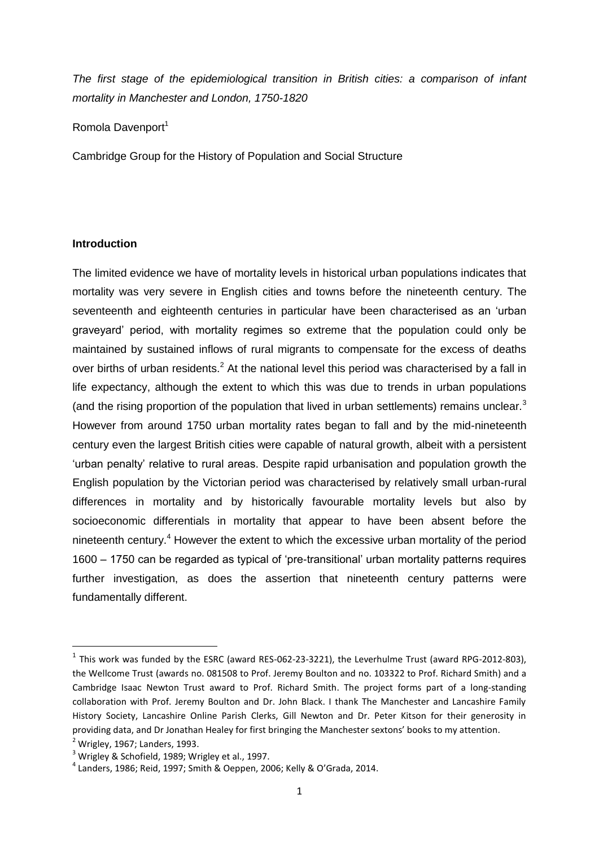*The first stage of the epidemiological transition in British cities: a comparison of infant mortality in Manchester and London, 1750-1820*

Romola Davenport<sup>1</sup>

Cambridge Group for the History of Population and Social Structure

### **Introduction**

The limited evidence we have of mortality levels in historical urban populations indicates that mortality was very severe in English cities and towns before the nineteenth century. The seventeenth and eighteenth centuries in particular have been characterised as an 'urban graveyard' period, with mortality regimes so extreme that the population could only be maintained by sustained inflows of rural migrants to compensate for the excess of deaths over births of urban residents.<sup>2</sup> At the national level this period was characterised by a fall in life expectancy, although the extent to which this was due to trends in urban populations (and the rising proportion of the population that lived in urban settlements) remains unclear. $3$ However from around 1750 urban mortality rates began to fall and by the mid-nineteenth century even the largest British cities were capable of natural growth, albeit with a persistent 'urban penalty' relative to rural areas. Despite rapid urbanisation and population growth the English population by the Victorian period was characterised by relatively small urban-rural differences in mortality and by historically favourable mortality levels but also by socioeconomic differentials in mortality that appear to have been absent before the nineteenth century.<sup>4</sup> However the extent to which the excessive urban mortality of the period 1600 – 1750 can be regarded as typical of 'pre-transitional' urban mortality patterns requires further investigation, as does the assertion that nineteenth century patterns were fundamentally different.

 $<sup>1</sup>$  This work was funded by the ESRC (award RES-062-23-3221), the Leverhulme Trust (award RPG-2012-803),</sup> the Wellcome Trust (awards no. 081508 to Prof. Jeremy Boulton and no. 103322 to Prof. Richard Smith) and a Cambridge Isaac Newton Trust award to Prof. Richard Smith. The project forms part of a long-standing collaboration with Prof. Jeremy Boulton and Dr. John Black. I thank The Manchester and Lancashire Family History Society, Lancashire Online Parish Clerks, Gill Newton and Dr. Peter Kitson for their generosity in providing data, and Dr Jonathan Healey for first bringing the Manchester sextons' books to my attention.

 $<sup>2</sup>$  Wrigley, 1967; Landers, 1993.</sup>

<sup>&</sup>lt;sup>3</sup> Wrigley & Schofield, 1989; Wrigley et al., 1997.

 $^{4}$  Landers, 1986; Reid, 1997; Smith & Oeppen, 2006; Kelly & O'Grada, 2014.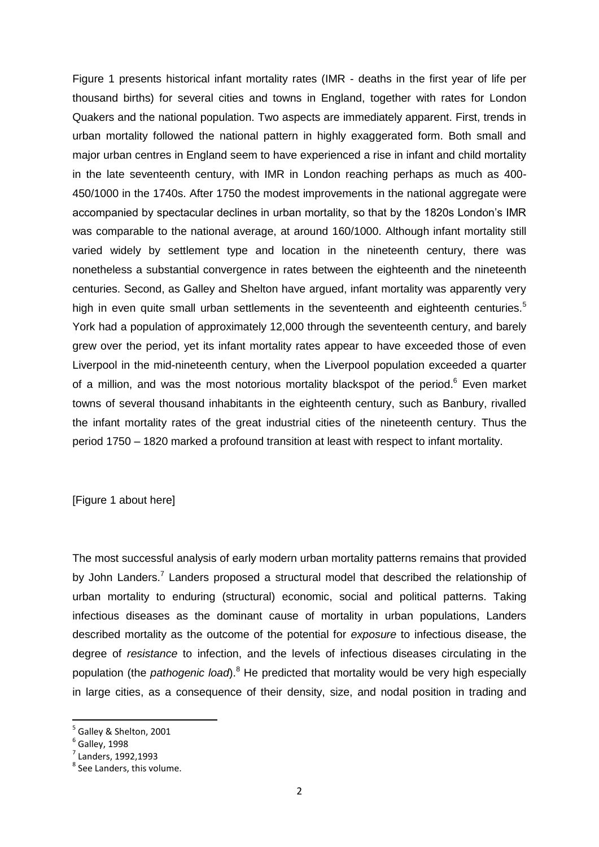Figure 1 presents historical infant mortality rates (IMR - deaths in the first year of life per thousand births) for several cities and towns in England, together with rates for London Quakers and the national population. Two aspects are immediately apparent. First, trends in urban mortality followed the national pattern in highly exaggerated form. Both small and major urban centres in England seem to have experienced a rise in infant and child mortality in the late seventeenth century, with IMR in London reaching perhaps as much as 400- 450/1000 in the 1740s. After 1750 the modest improvements in the national aggregate were accompanied by spectacular declines in urban mortality, so that by the 1820s London's IMR was comparable to the national average, at around 160/1000. Although infant mortality still varied widely by settlement type and location in the nineteenth century, there was nonetheless a substantial convergence in rates between the eighteenth and the nineteenth centuries. Second, as Galley and Shelton have argued, infant mortality was apparently very high in even quite small urban settlements in the seventeenth and eighteenth centuries.<sup>5</sup> York had a population of approximately 12,000 through the seventeenth century, and barely grew over the period, yet its infant mortality rates appear to have exceeded those of even Liverpool in the mid-nineteenth century, when the Liverpool population exceeded a quarter of a million, and was the most notorious mortality blackspot of the period.<sup>6</sup> Even market towns of several thousand inhabitants in the eighteenth century, such as Banbury, rivalled the infant mortality rates of the great industrial cities of the nineteenth century. Thus the period 1750 – 1820 marked a profound transition at least with respect to infant mortality.

[Figure 1 about here]

The most successful analysis of early modern urban mortality patterns remains that provided by John Landers.<sup>7</sup> Landers proposed a structural model that described the relationship of urban mortality to enduring (structural) economic, social and political patterns. Taking infectious diseases as the dominant cause of mortality in urban populations, Landers described mortality as the outcome of the potential for *exposure* to infectious disease, the degree of *resistance* to infection, and the levels of infectious diseases circulating in the population (the *pathogenic load*).<sup>8</sup> He predicted that mortality would be very high especially in large cities, as a consequence of their density, size, and nodal position in trading and

<sup>5</sup> Galley & Shelton, 2001

 $<sup>6</sup>$  Galley, 1998</sup>

<sup>7</sup> Landers, 1992,1993

<sup>&</sup>lt;sup>8</sup> See Landers, this volume.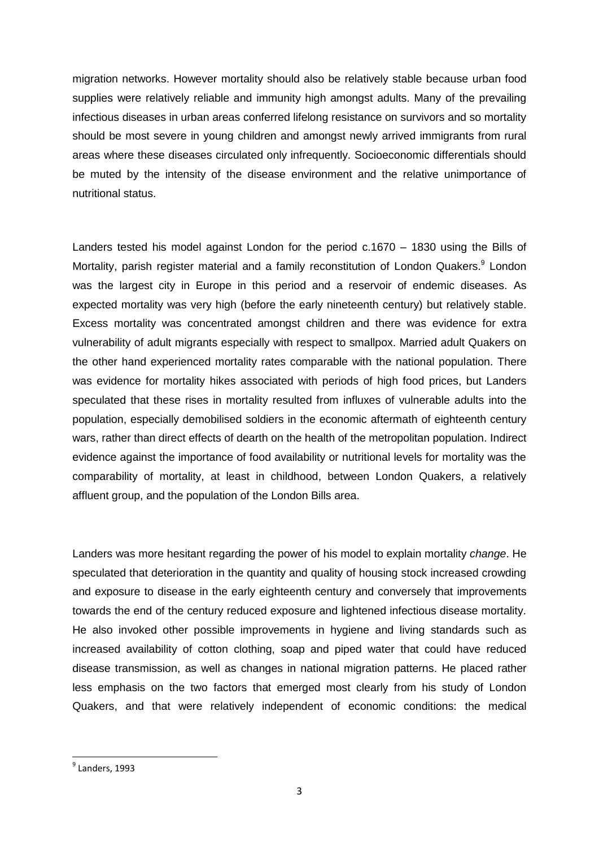migration networks. However mortality should also be relatively stable because urban food supplies were relatively reliable and immunity high amongst adults. Many of the prevailing infectious diseases in urban areas conferred lifelong resistance on survivors and so mortality should be most severe in young children and amongst newly arrived immigrants from rural areas where these diseases circulated only infrequently. Socioeconomic differentials should be muted by the intensity of the disease environment and the relative unimportance of nutritional status.

Landers tested his model against London for the period c.1670 – 1830 using the Bills of Mortality, parish register material and a family reconstitution of London Quakers.<sup>9</sup> London was the largest city in Europe in this period and a reservoir of endemic diseases. As expected mortality was very high (before the early nineteenth century) but relatively stable. Excess mortality was concentrated amongst children and there was evidence for extra vulnerability of adult migrants especially with respect to smallpox. Married adult Quakers on the other hand experienced mortality rates comparable with the national population. There was evidence for mortality hikes associated with periods of high food prices, but Landers speculated that these rises in mortality resulted from influxes of vulnerable adults into the population, especially demobilised soldiers in the economic aftermath of eighteenth century wars, rather than direct effects of dearth on the health of the metropolitan population. Indirect evidence against the importance of food availability or nutritional levels for mortality was the comparability of mortality, at least in childhood, between London Quakers, a relatively affluent group, and the population of the London Bills area.

Landers was more hesitant regarding the power of his model to explain mortality *change*. He speculated that deterioration in the quantity and quality of housing stock increased crowding and exposure to disease in the early eighteenth century and conversely that improvements towards the end of the century reduced exposure and lightened infectious disease mortality. He also invoked other possible improvements in hygiene and living standards such as increased availability of cotton clothing, soap and piped water that could have reduced disease transmission, as well as changes in national migration patterns. He placed rather less emphasis on the two factors that emerged most clearly from his study of London Quakers, and that were relatively independent of economic conditions: the medical

<sup>&</sup>lt;sup>9</sup> Landers, 1993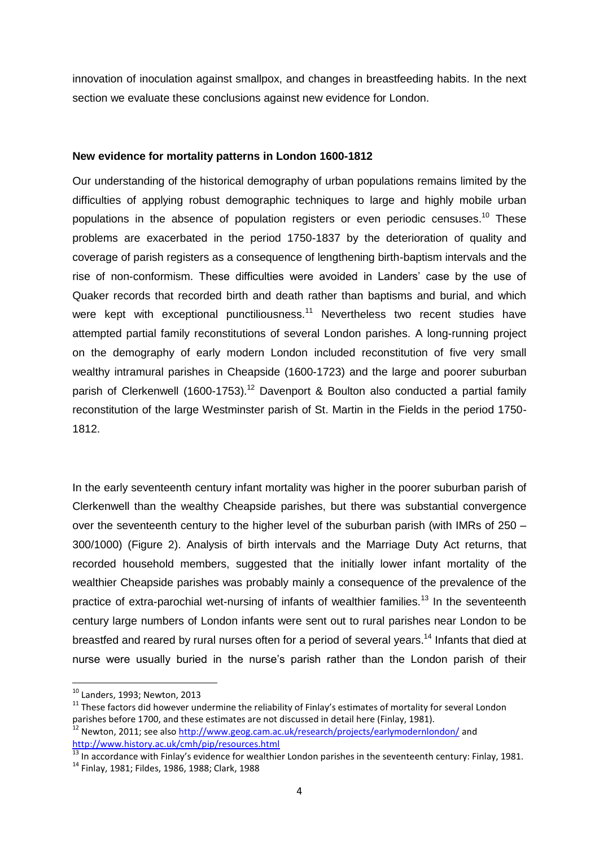innovation of inoculation against smallpox, and changes in breastfeeding habits. In the next section we evaluate these conclusions against new evidence for London.

#### **New evidence for mortality patterns in London 1600-1812**

Our understanding of the historical demography of urban populations remains limited by the difficulties of applying robust demographic techniques to large and highly mobile urban populations in the absence of population registers or even periodic censuses.<sup>10</sup> These problems are exacerbated in the period 1750-1837 by the deterioration of quality and coverage of parish registers as a consequence of lengthening birth-baptism intervals and the rise of non-conformism. These difficulties were avoided in Landers' case by the use of Quaker records that recorded birth and death rather than baptisms and burial, and which were kept with exceptional punctiliousness.<sup>11</sup> Nevertheless two recent studies have attempted partial family reconstitutions of several London parishes. A long-running project on the demography of early modern London included reconstitution of five very small wealthy intramural parishes in Cheapside (1600-1723) and the large and poorer suburban parish of Clerkenwell (1600-1753).<sup>12</sup> Davenport & Boulton also conducted a partial family reconstitution of the large Westminster parish of St. Martin in the Fields in the period 1750- 1812.

In the early seventeenth century infant mortality was higher in the poorer suburban parish of Clerkenwell than the wealthy Cheapside parishes, but there was substantial convergence over the seventeenth century to the higher level of the suburban parish (with IMRs of 250 – 300/1000) (Figure 2). Analysis of birth intervals and the Marriage Duty Act returns, that recorded household members, suggested that the initially lower infant mortality of the wealthier Cheapside parishes was probably mainly a consequence of the prevalence of the practice of extra-parochial wet-nursing of infants of wealthier families.<sup>13</sup> In the seventeenth century large numbers of London infants were sent out to rural parishes near London to be breastfed and reared by rural nurses often for a period of several years.<sup>14</sup> Infants that died at nurse were usually buried in the nurse's parish rather than the London parish of their

 $\overline{a}$ 

 $^{10}$  Landers, 1993; Newton, 2013

 $11$  These factors did however undermine the reliability of Finlay's estimates of mortality for several London parishes before 1700, and these estimates are not discussed in detail here (Finlay, 1981).

<sup>&</sup>lt;sup>12</sup> Newton, 2011; see also<http://www.geog.cam.ac.uk/research/projects/earlymodernlondon/> and <http://www.history.ac.uk/cmh/pip/resources.html>

<sup>&</sup>lt;sup>13</sup> In accordance with Finlay's evidence for wealthier London parishes in the seventeenth century: Finlay, 1981.

<sup>14</sup> Finlay, 1981; Fildes, 1986, 1988; Clark, 1988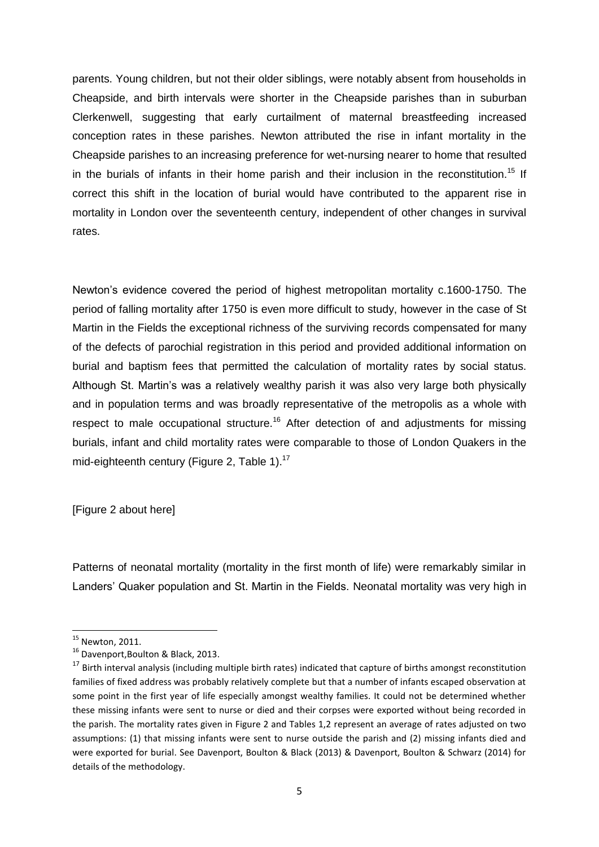parents. Young children, but not their older siblings, were notably absent from households in Cheapside, and birth intervals were shorter in the Cheapside parishes than in suburban Clerkenwell, suggesting that early curtailment of maternal breastfeeding increased conception rates in these parishes. Newton attributed the rise in infant mortality in the Cheapside parishes to an increasing preference for wet-nursing nearer to home that resulted in the burials of infants in their home parish and their inclusion in the reconstitution.<sup>15</sup> If correct this shift in the location of burial would have contributed to the apparent rise in mortality in London over the seventeenth century, independent of other changes in survival rates.

Newton's evidence covered the period of highest metropolitan mortality c.1600-1750. The period of falling mortality after 1750 is even more difficult to study, however in the case of St Martin in the Fields the exceptional richness of the surviving records compensated for many of the defects of parochial registration in this period and provided additional information on burial and baptism fees that permitted the calculation of mortality rates by social status. Although St. Martin's was a relatively wealthy parish it was also very large both physically and in population terms and was broadly representative of the metropolis as a whole with respect to male occupational structure.<sup>16</sup> After detection of and adjustments for missing burials, infant and child mortality rates were comparable to those of London Quakers in the mid-eighteenth century (Figure 2, Table 1).<sup>17</sup>

[Figure 2 about here]

Patterns of neonatal mortality (mortality in the first month of life) were remarkably similar in Landers' Quaker population and St. Martin in the Fields. Neonatal mortality was very high in

1

 $15$  Newton, 2011.

<sup>&</sup>lt;sup>16</sup> Davenport, Boulton & Black, 2013.

<sup>&</sup>lt;sup>17</sup> Birth interval analysis (including multiple birth rates) indicated that capture of births amongst reconstitution families of fixed address was probably relatively complete but that a number of infants escaped observation at some point in the first year of life especially amongst wealthy families. It could not be determined whether these missing infants were sent to nurse or died and their corpses were exported without being recorded in the parish. The mortality rates given in Figure 2 and Tables 1,2 represent an average of rates adjusted on two assumptions: (1) that missing infants were sent to nurse outside the parish and (2) missing infants died and were exported for burial. See Davenport, Boulton & Black (2013) & Davenport, Boulton & Schwarz (2014) for details of the methodology.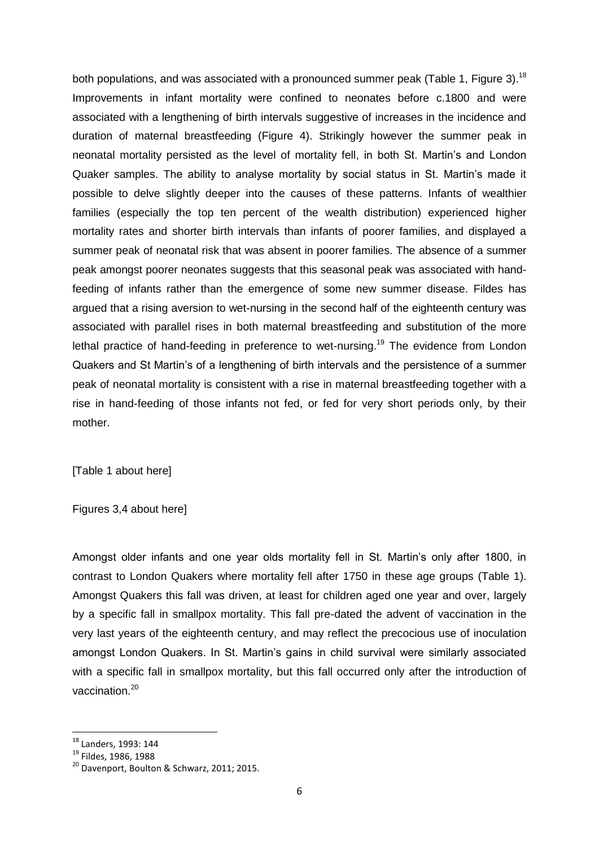both populations, and was associated with a pronounced summer peak (Table 1, Figure 3).<sup>18</sup> Improvements in infant mortality were confined to neonates before c.1800 and were associated with a lengthening of birth intervals suggestive of increases in the incidence and duration of maternal breastfeeding (Figure 4). Strikingly however the summer peak in neonatal mortality persisted as the level of mortality fell, in both St. Martin's and London Quaker samples. The ability to analyse mortality by social status in St. Martin's made it possible to delve slightly deeper into the causes of these patterns. Infants of wealthier families (especially the top ten percent of the wealth distribution) experienced higher mortality rates and shorter birth intervals than infants of poorer families, and displayed a summer peak of neonatal risk that was absent in poorer families. The absence of a summer peak amongst poorer neonates suggests that this seasonal peak was associated with handfeeding of infants rather than the emergence of some new summer disease. Fildes has argued that a rising aversion to wet-nursing in the second half of the eighteenth century was associated with parallel rises in both maternal breastfeeding and substitution of the more lethal practice of hand-feeding in preference to wet-nursing.<sup>19</sup> The evidence from London Quakers and St Martin's of a lengthening of birth intervals and the persistence of a summer peak of neonatal mortality is consistent with a rise in maternal breastfeeding together with a rise in hand-feeding of those infants not fed, or fed for very short periods only, by their mother.

[Table 1 about here]

Figures 3,4 about here]

Amongst older infants and one year olds mortality fell in St. Martin's only after 1800, in contrast to London Quakers where mortality fell after 1750 in these age groups (Table 1). Amongst Quakers this fall was driven, at least for children aged one year and over, largely by a specific fall in smallpox mortality. This fall pre-dated the advent of vaccination in the very last years of the eighteenth century, and may reflect the precocious use of inoculation amongst London Quakers. In St. Martin's gains in child survival were similarly associated with a specific fall in smallpox mortality, but this fall occurred only after the introduction of vaccination. 20

<sup>&</sup>lt;sup>18</sup> Landers, 1993: 144

Lanucro, 2002.

<sup>&</sup>lt;sup>20</sup> Davenport, Boulton & Schwarz, 2011; 2015.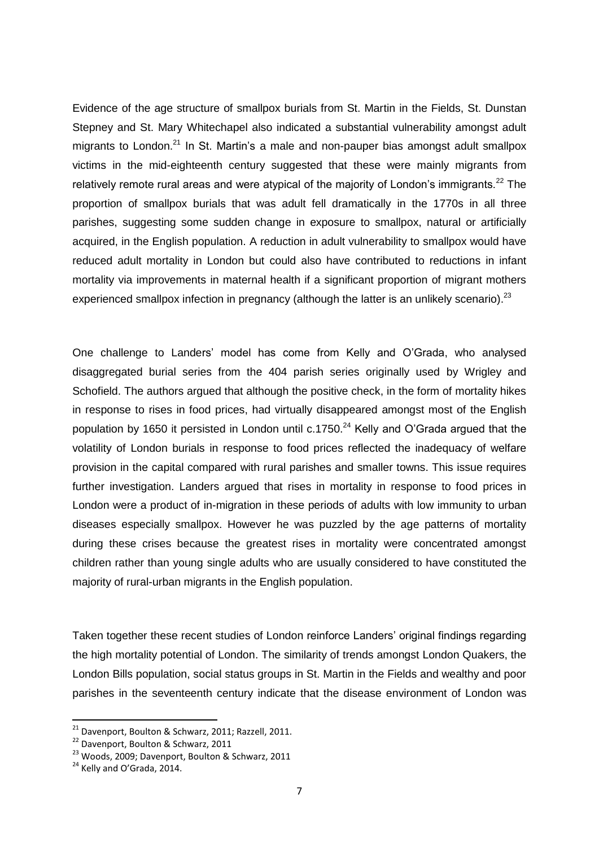Evidence of the age structure of smallpox burials from St. Martin in the Fields, St. Dunstan Stepney and St. Mary Whitechapel also indicated a substantial vulnerability amongst adult migrants to London.<sup>21</sup> In St. Martin's a male and non-pauper bias amongst adult smallpox victims in the mid-eighteenth century suggested that these were mainly migrants from relatively remote rural areas and were atypical of the majority of London's immigrants.<sup>22</sup> The proportion of smallpox burials that was adult fell dramatically in the 1770s in all three parishes, suggesting some sudden change in exposure to smallpox, natural or artificially acquired, in the English population. A reduction in adult vulnerability to smallpox would have reduced adult mortality in London but could also have contributed to reductions in infant mortality via improvements in maternal health if a significant proportion of migrant mothers experienced smallpox infection in pregnancy (although the latter is an unlikely scenario). $^{23}$ 

One challenge to Landers' model has come from Kelly and O'Grada, who analysed disaggregated burial series from the 404 parish series originally used by Wrigley and Schofield. The authors argued that although the positive check, in the form of mortality hikes in response to rises in food prices, had virtually disappeared amongst most of the English population by 1650 it persisted in London until  $c$ .1750.<sup>24</sup> Kelly and O'Grada argued that the volatility of London burials in response to food prices reflected the inadequacy of welfare provision in the capital compared with rural parishes and smaller towns. This issue requires further investigation. Landers argued that rises in mortality in response to food prices in London were a product of in-migration in these periods of adults with low immunity to urban diseases especially smallpox. However he was puzzled by the age patterns of mortality during these crises because the greatest rises in mortality were concentrated amongst children rather than young single adults who are usually considered to have constituted the majority of rural-urban migrants in the English population.

Taken together these recent studies of London reinforce Landers' original findings regarding the high mortality potential of London. The similarity of trends amongst London Quakers, the London Bills population, social status groups in St. Martin in the Fields and wealthy and poor parishes in the seventeenth century indicate that the disease environment of London was

<sup>&</sup>lt;sup>21</sup> Davenport, Boulton & Schwarz, 2011; Razzell, 2011.

<sup>&</sup>lt;sup>22</sup> Davenport, Boulton & Schwarz, 2011

<sup>23</sup> Woods, 2009; Davenport, Boulton & Schwarz, 2011

<sup>&</sup>lt;sup>24</sup> Kelly and O'Grada, 2014.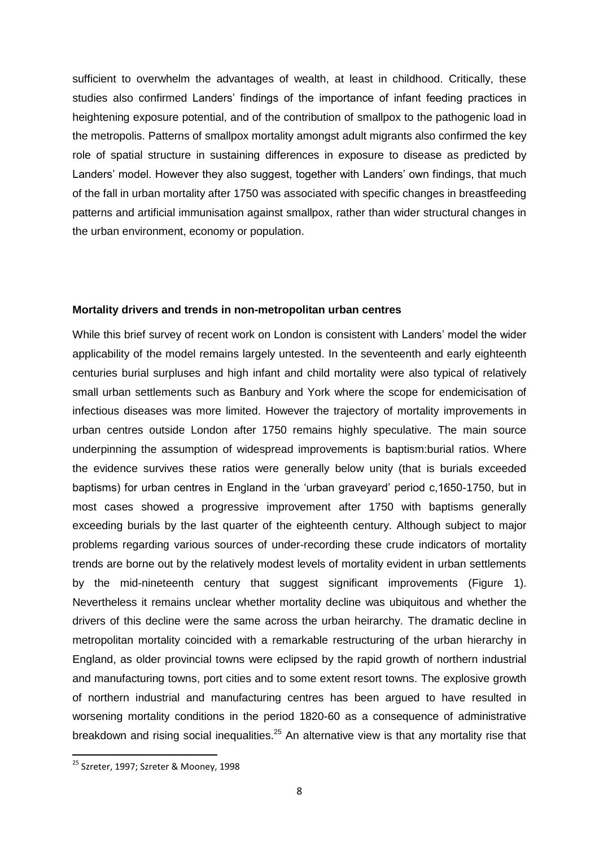sufficient to overwhelm the advantages of wealth, at least in childhood. Critically, these studies also confirmed Landers' findings of the importance of infant feeding practices in heightening exposure potential, and of the contribution of smallpox to the pathogenic load in the metropolis. Patterns of smallpox mortality amongst adult migrants also confirmed the key role of spatial structure in sustaining differences in exposure to disease as predicted by Landers' model. However they also suggest, together with Landers' own findings, that much of the fall in urban mortality after 1750 was associated with specific changes in breastfeeding patterns and artificial immunisation against smallpox, rather than wider structural changes in the urban environment, economy or population.

#### **Mortality drivers and trends in non-metropolitan urban centres**

While this brief survey of recent work on London is consistent with Landers' model the wider applicability of the model remains largely untested. In the seventeenth and early eighteenth centuries burial surpluses and high infant and child mortality were also typical of relatively small urban settlements such as Banbury and York where the scope for endemicisation of infectious diseases was more limited. However the trajectory of mortality improvements in urban centres outside London after 1750 remains highly speculative. The main source underpinning the assumption of widespread improvements is baptism:burial ratios. Where the evidence survives these ratios were generally below unity (that is burials exceeded baptisms) for urban centres in England in the 'urban graveyard' period c,1650-1750, but in most cases showed a progressive improvement after 1750 with baptisms generally exceeding burials by the last quarter of the eighteenth century. Although subject to major problems regarding various sources of under-recording these crude indicators of mortality trends are borne out by the relatively modest levels of mortality evident in urban settlements by the mid-nineteenth century that suggest significant improvements (Figure 1). Nevertheless it remains unclear whether mortality decline was ubiquitous and whether the drivers of this decline were the same across the urban heirarchy. The dramatic decline in metropolitan mortality coincided with a remarkable restructuring of the urban hierarchy in England, as older provincial towns were eclipsed by the rapid growth of northern industrial and manufacturing towns, port cities and to some extent resort towns. The explosive growth of northern industrial and manufacturing centres has been argued to have resulted in worsening mortality conditions in the period 1820-60 as a consequence of administrative breakdown and rising social inequalities.<sup>25</sup> An alternative view is that any mortality rise that

<sup>&</sup>lt;sup>25</sup> Szreter, 1997; Szreter & Mooney, 1998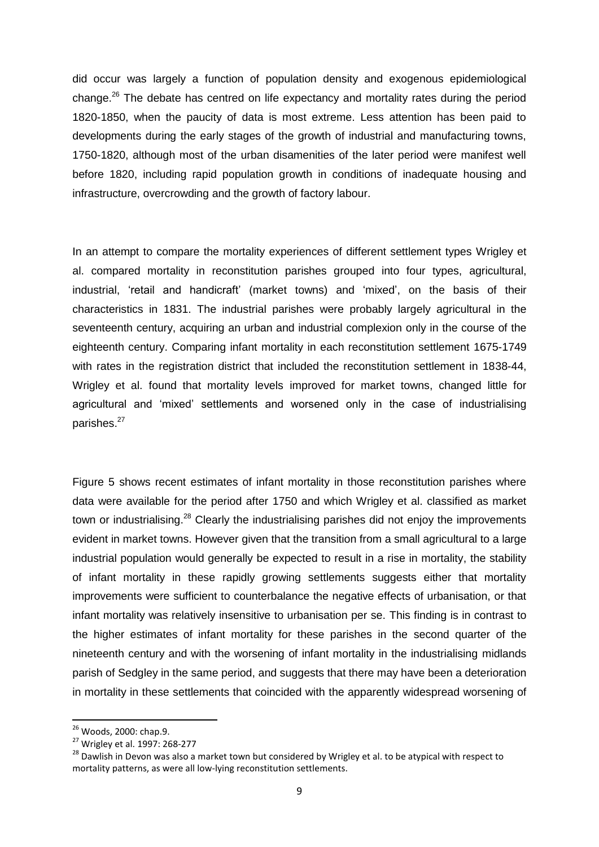did occur was largely a function of population density and exogenous epidemiological change.<sup>26</sup> The debate has centred on life expectancy and mortality rates during the period 1820-1850, when the paucity of data is most extreme. Less attention has been paid to developments during the early stages of the growth of industrial and manufacturing towns, 1750-1820, although most of the urban disamenities of the later period were manifest well before 1820, including rapid population growth in conditions of inadequate housing and infrastructure, overcrowding and the growth of factory labour.

In an attempt to compare the mortality experiences of different settlement types Wrigley et al. compared mortality in reconstitution parishes grouped into four types, agricultural, industrial, 'retail and handicraft' (market towns) and 'mixed', on the basis of their characteristics in 1831. The industrial parishes were probably largely agricultural in the seventeenth century, acquiring an urban and industrial complexion only in the course of the eighteenth century. Comparing infant mortality in each reconstitution settlement 1675-1749 with rates in the registration district that included the reconstitution settlement in 1838-44, Wrigley et al. found that mortality levels improved for market towns, changed little for agricultural and 'mixed' settlements and worsened only in the case of industrialising parishes.<sup>27</sup>

Figure 5 shows recent estimates of infant mortality in those reconstitution parishes where data were available for the period after 1750 and which Wrigley et al. classified as market town or industrialising.<sup>28</sup> Clearly the industrialising parishes did not enjoy the improvements evident in market towns. However given that the transition from a small agricultural to a large industrial population would generally be expected to result in a rise in mortality, the stability of infant mortality in these rapidly growing settlements suggests either that mortality improvements were sufficient to counterbalance the negative effects of urbanisation, or that infant mortality was relatively insensitive to urbanisation per se. This finding is in contrast to the higher estimates of infant mortality for these parishes in the second quarter of the nineteenth century and with the worsening of infant mortality in the industrialising midlands parish of Sedgley in the same period, and suggests that there may have been a deterioration in mortality in these settlements that coincided with the apparently widespread worsening of

<sup>&</sup>lt;sup>26</sup> Woods, 2000: chap.9.

<sup>27</sup> Wrigley et al. 1997: 268-277

<sup>&</sup>lt;sup>28</sup> Dawlish in Devon was also a market town but considered by Wrigley et al. to be atypical with respect to mortality patterns, as were all low-lying reconstitution settlements.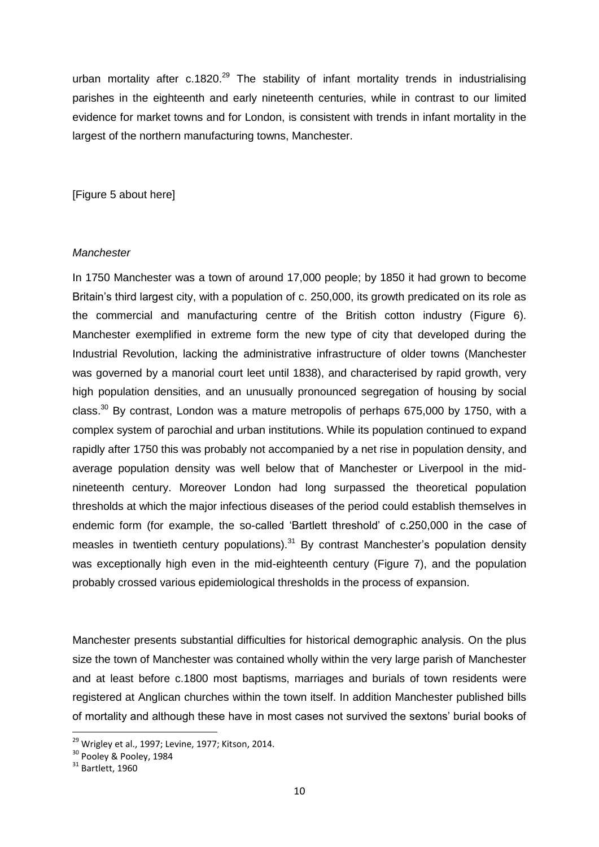urban mortality after c.1820.<sup>29</sup> The stability of infant mortality trends in industrialising parishes in the eighteenth and early nineteenth centuries, while in contrast to our limited evidence for market towns and for London, is consistent with trends in infant mortality in the largest of the northern manufacturing towns, Manchester.

[Figure 5 about here]

#### *Manchester*

In 1750 Manchester was a town of around 17,000 people; by 1850 it had grown to become Britain's third largest city, with a population of c. 250,000, its growth predicated on its role as the commercial and manufacturing centre of the British cotton industry (Figure 6). Manchester exemplified in extreme form the new type of city that developed during the Industrial Revolution, lacking the administrative infrastructure of older towns (Manchester was governed by a manorial court leet until 1838), and characterised by rapid growth, very high population densities, and an unusually pronounced segregation of housing by social class.<sup>30</sup> By contrast, London was a mature metropolis of perhaps 675,000 by 1750, with a complex system of parochial and urban institutions. While its population continued to expand rapidly after 1750 this was probably not accompanied by a net rise in population density, and average population density was well below that of Manchester or Liverpool in the midnineteenth century. Moreover London had long surpassed the theoretical population thresholds at which the major infectious diseases of the period could establish themselves in endemic form (for example, the so-called 'Bartlett threshold' of c.250,000 in the case of measles in twentieth century populations). $31$  By contrast Manchester's population density was exceptionally high even in the mid-eighteenth century (Figure 7), and the population probably crossed various epidemiological thresholds in the process of expansion.

Manchester presents substantial difficulties for historical demographic analysis. On the plus size the town of Manchester was contained wholly within the very large parish of Manchester and at least before c.1800 most baptisms, marriages and burials of town residents were registered at Anglican churches within the town itself. In addition Manchester published bills of mortality and although these have in most cases not survived the sextons' burial books of

 $^{29}$  Wrigley et al., 1997; Levine, 1977; Kitson, 2014.

 $30^{30}$  Pooley & Pooley, 1984

 $31$  Bartlett, 1960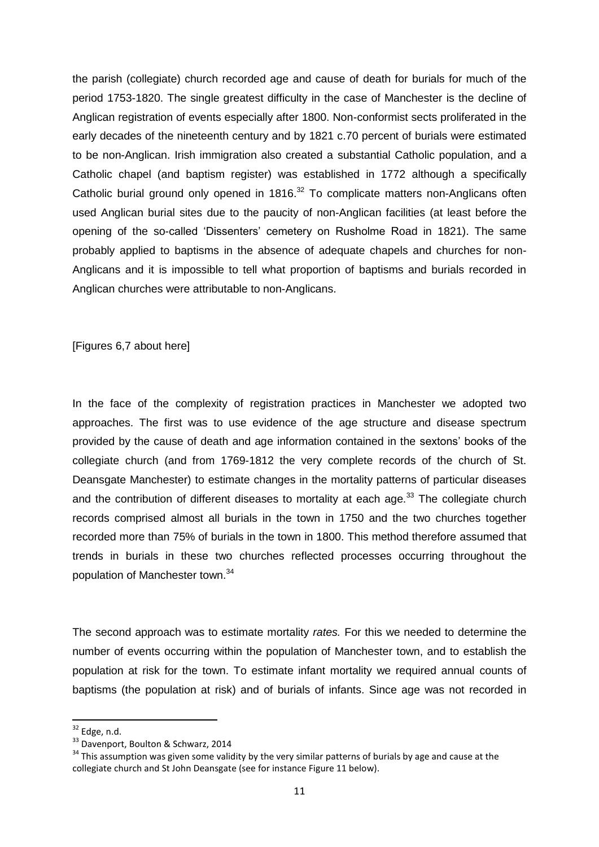the parish (collegiate) church recorded age and cause of death for burials for much of the period 1753-1820. The single greatest difficulty in the case of Manchester is the decline of Anglican registration of events especially after 1800. Non-conformist sects proliferated in the early decades of the nineteenth century and by 1821 c.70 percent of burials were estimated to be non-Anglican. Irish immigration also created a substantial Catholic population, and a Catholic chapel (and baptism register) was established in 1772 although a specifically Catholic burial ground only opened in 1816.<sup>32</sup> To complicate matters non-Anglicans often used Anglican burial sites due to the paucity of non-Anglican facilities (at least before the opening of the so-called 'Dissenters' cemetery on Rusholme Road in 1821). The same probably applied to baptisms in the absence of adequate chapels and churches for non-Anglicans and it is impossible to tell what proportion of baptisms and burials recorded in Anglican churches were attributable to non-Anglicans.

[Figures 6,7 about here]

In the face of the complexity of registration practices in Manchester we adopted two approaches. The first was to use evidence of the age structure and disease spectrum provided by the cause of death and age information contained in the sextons' books of the collegiate church (and from 1769-1812 the very complete records of the church of St. Deansgate Manchester) to estimate changes in the mortality patterns of particular diseases and the contribution of different diseases to mortality at each age. $33$  The collegiate church records comprised almost all burials in the town in 1750 and the two churches together recorded more than 75% of burials in the town in 1800. This method therefore assumed that trends in burials in these two churches reflected processes occurring throughout the population of Manchester town.<sup>34</sup>

The second approach was to estimate mortality *rates.* For this we needed to determine the number of events occurring within the population of Manchester town, and to establish the population at risk for the town. To estimate infant mortality we required annual counts of baptisms (the population at risk) and of burials of infants. Since age was not recorded in

 $32$  Edge, n.d.

<sup>33</sup> Davenport, Boulton & Schwarz, 2014

<sup>&</sup>lt;sup>34</sup> This assumption was given some validity by the very similar patterns of burials by age and cause at the collegiate church and St John Deansgate (see for instance Figure 11 below).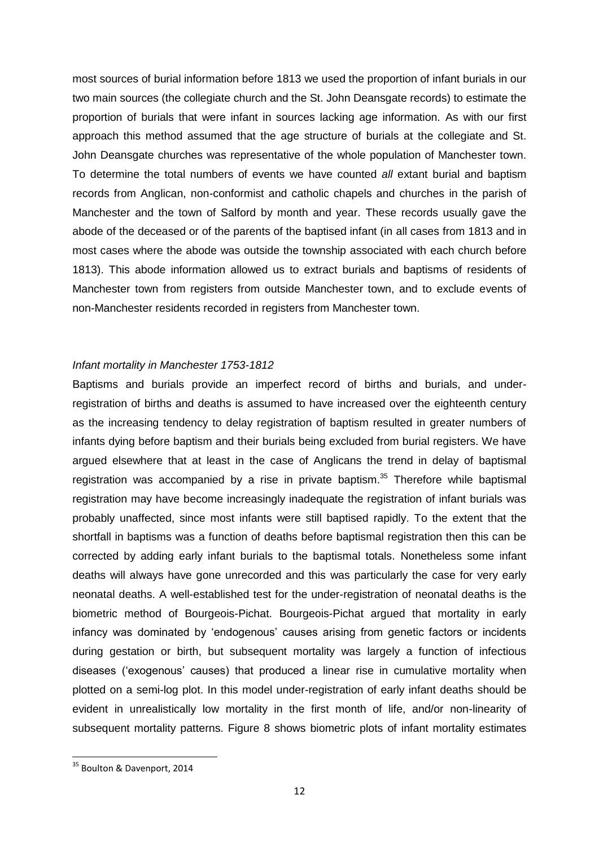most sources of burial information before 1813 we used the proportion of infant burials in our two main sources (the collegiate church and the St. John Deansgate records) to estimate the proportion of burials that were infant in sources lacking age information. As with our first approach this method assumed that the age structure of burials at the collegiate and St. John Deansgate churches was representative of the whole population of Manchester town. To determine the total numbers of events we have counted *all* extant burial and baptism records from Anglican, non-conformist and catholic chapels and churches in the parish of Manchester and the town of Salford by month and year. These records usually gave the abode of the deceased or of the parents of the baptised infant (in all cases from 1813 and in most cases where the abode was outside the township associated with each church before 1813). This abode information allowed us to extract burials and baptisms of residents of Manchester town from registers from outside Manchester town, and to exclude events of non-Manchester residents recorded in registers from Manchester town.

#### *Infant mortality in Manchester 1753-1812*

Baptisms and burials provide an imperfect record of births and burials, and underregistration of births and deaths is assumed to have increased over the eighteenth century as the increasing tendency to delay registration of baptism resulted in greater numbers of infants dying before baptism and their burials being excluded from burial registers. We have argued elsewhere that at least in the case of Anglicans the trend in delay of baptismal registration was accompanied by a rise in private baptism.<sup>35</sup> Therefore while baptismal registration may have become increasingly inadequate the registration of infant burials was probably unaffected, since most infants were still baptised rapidly. To the extent that the shortfall in baptisms was a function of deaths before baptismal registration then this can be corrected by adding early infant burials to the baptismal totals. Nonetheless some infant deaths will always have gone unrecorded and this was particularly the case for very early neonatal deaths. A well-established test for the under-registration of neonatal deaths is the biometric method of Bourgeois-Pichat. Bourgeois-Pichat argued that mortality in early infancy was dominated by 'endogenous' causes arising from genetic factors or incidents during gestation or birth, but subsequent mortality was largely a function of infectious diseases ('exogenous' causes) that produced a linear rise in cumulative mortality when plotted on a semi-log plot. In this model under-registration of early infant deaths should be evident in unrealistically low mortality in the first month of life, and/or non-linearity of subsequent mortality patterns. Figure 8 shows biometric plots of infant mortality estimates

<sup>&</sup>lt;sup>35</sup> Boulton & Davenport, 2014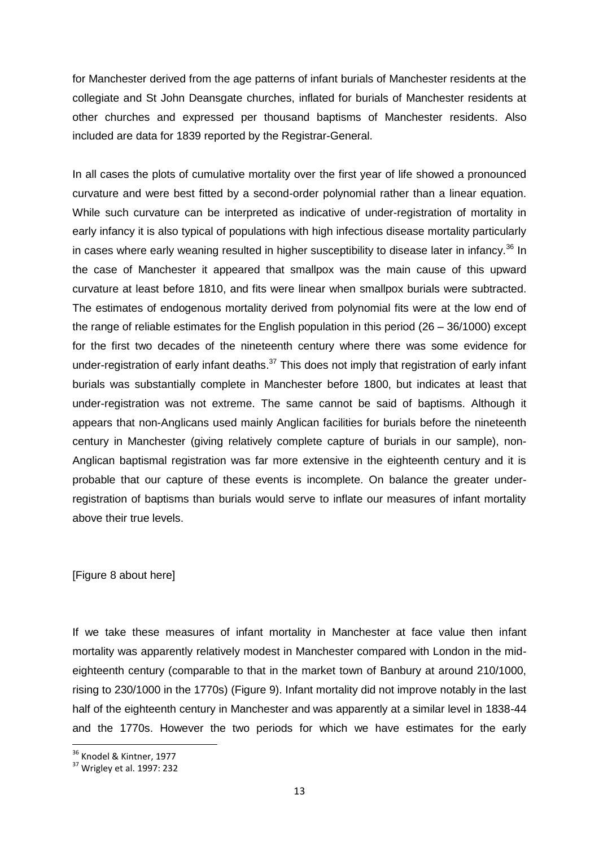for Manchester derived from the age patterns of infant burials of Manchester residents at the collegiate and St John Deansgate churches, inflated for burials of Manchester residents at other churches and expressed per thousand baptisms of Manchester residents. Also included are data for 1839 reported by the Registrar-General.

In all cases the plots of cumulative mortality over the first year of life showed a pronounced curvature and were best fitted by a second-order polynomial rather than a linear equation. While such curvature can be interpreted as indicative of under-registration of mortality in early infancy it is also typical of populations with high infectious disease mortality particularly in cases where early weaning resulted in higher susceptibility to disease later in infancy.<sup>36</sup> In the case of Manchester it appeared that smallpox was the main cause of this upward curvature at least before 1810, and fits were linear when smallpox burials were subtracted. The estimates of endogenous mortality derived from polynomial fits were at the low end of the range of reliable estimates for the English population in this period (26 – 36/1000) except for the first two decades of the nineteenth century where there was some evidence for under-registration of early infant deaths.<sup>37</sup> This does not imply that registration of early infant burials was substantially complete in Manchester before 1800, but indicates at least that under-registration was not extreme. The same cannot be said of baptisms. Although it appears that non-Anglicans used mainly Anglican facilities for burials before the nineteenth century in Manchester (giving relatively complete capture of burials in our sample), non-Anglican baptismal registration was far more extensive in the eighteenth century and it is probable that our capture of these events is incomplete. On balance the greater underregistration of baptisms than burials would serve to inflate our measures of infant mortality above their true levels.

#### [Figure 8 about here]

If we take these measures of infant mortality in Manchester at face value then infant mortality was apparently relatively modest in Manchester compared with London in the mideighteenth century (comparable to that in the market town of Banbury at around 210/1000, rising to 230/1000 in the 1770s) (Figure 9). Infant mortality did not improve notably in the last half of the eighteenth century in Manchester and was apparently at a similar level in 1838-44 and the 1770s. However the two periods for which we have estimates for the early

<sup>&</sup>lt;sup>36</sup> Knodel & Kintner, 1977

<sup>37</sup> Wrigley et al. 1997: 232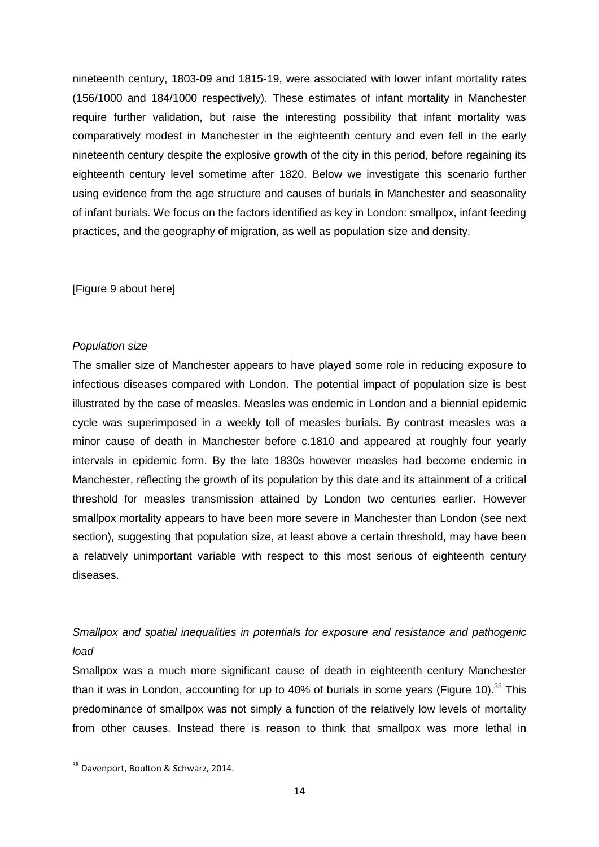nineteenth century, 1803-09 and 1815-19, were associated with lower infant mortality rates (156/1000 and 184/1000 respectively). These estimates of infant mortality in Manchester require further validation, but raise the interesting possibility that infant mortality was comparatively modest in Manchester in the eighteenth century and even fell in the early nineteenth century despite the explosive growth of the city in this period, before regaining its eighteenth century level sometime after 1820. Below we investigate this scenario further using evidence from the age structure and causes of burials in Manchester and seasonality of infant burials. We focus on the factors identified as key in London: smallpox, infant feeding practices, and the geography of migration, as well as population size and density.

[Figure 9 about here]

### *Population size*

The smaller size of Manchester appears to have played some role in reducing exposure to infectious diseases compared with London. The potential impact of population size is best illustrated by the case of measles. Measles was endemic in London and a biennial epidemic cycle was superimposed in a weekly toll of measles burials. By contrast measles was a minor cause of death in Manchester before c.1810 and appeared at roughly four yearly intervals in epidemic form. By the late 1830s however measles had become endemic in Manchester, reflecting the growth of its population by this date and its attainment of a critical threshold for measles transmission attained by London two centuries earlier. However smallpox mortality appears to have been more severe in Manchester than London (see next section), suggesting that population size, at least above a certain threshold, may have been a relatively unimportant variable with respect to this most serious of eighteenth century diseases.

# *Smallpox and spatial inequalities in potentials for exposure and resistance and pathogenic load*

Smallpox was a much more significant cause of death in eighteenth century Manchester than it was in London, accounting for up to 40% of burials in some years (Figure 10).<sup>38</sup> This predominance of smallpox was not simply a function of the relatively low levels of mortality from other causes. Instead there is reason to think that smallpox was more lethal in

**<sup>.</sup>** <sup>38</sup> Davenport, Boulton & Schwarz, 2014.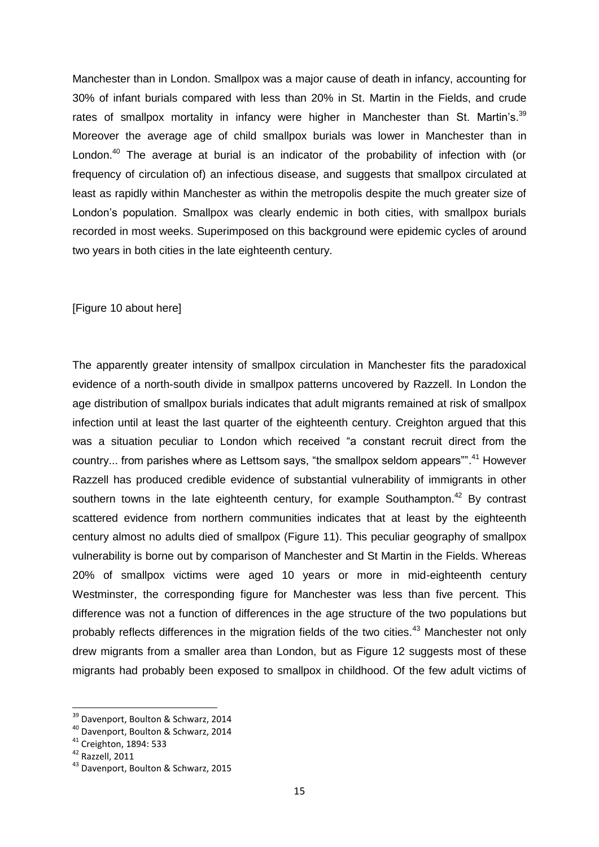Manchester than in London. Smallpox was a major cause of death in infancy, accounting for 30% of infant burials compared with less than 20% in St. Martin in the Fields, and crude rates of smallpox mortality in infancy were higher in Manchester than St. Martin's.<sup>39</sup> Moreover the average age of child smallpox burials was lower in Manchester than in London.<sup>40</sup> The average at burial is an indicator of the probability of infection with (or frequency of circulation of) an infectious disease, and suggests that smallpox circulated at least as rapidly within Manchester as within the metropolis despite the much greater size of London's population. Smallpox was clearly endemic in both cities, with smallpox burials recorded in most weeks. Superimposed on this background were epidemic cycles of around two years in both cities in the late eighteenth century.

[Figure 10 about here]

The apparently greater intensity of smallpox circulation in Manchester fits the paradoxical evidence of a north-south divide in smallpox patterns uncovered by Razzell. In London the age distribution of smallpox burials indicates that adult migrants remained at risk of smallpox infection until at least the last quarter of the eighteenth century. Creighton argued that this was a situation peculiar to London which received "a constant recruit direct from the country... from parishes where as Lettsom says, "the smallpox seldom appears"".<sup>41</sup> However Razzell has produced credible evidence of substantial vulnerability of immigrants in other southern towns in the late eighteenth century, for example Southampton.<sup>42</sup> By contrast scattered evidence from northern communities indicates that at least by the eighteenth century almost no adults died of smallpox (Figure 11). This peculiar geography of smallpox vulnerability is borne out by comparison of Manchester and St Martin in the Fields. Whereas 20% of smallpox victims were aged 10 years or more in mid-eighteenth century Westminster, the corresponding figure for Manchester was less than five percent. This difference was not a function of differences in the age structure of the two populations but probably reflects differences in the migration fields of the two cities.<sup>43</sup> Manchester not only drew migrants from a smaller area than London, but as Figure 12 suggests most of these migrants had probably been exposed to smallpox in childhood. Of the few adult victims of

 $\overline{\phantom{a}}$ 

<sup>&</sup>lt;sup>39</sup> Davenport, Boulton & Schwarz, 2014

<sup>40</sup> Davenport, Boulton & Schwarz, 2014

<sup>41</sup> Creighton, 1894: 533

<sup>42</sup> Razzell, 2011

<sup>43</sup> Davenport, Boulton & Schwarz, 2015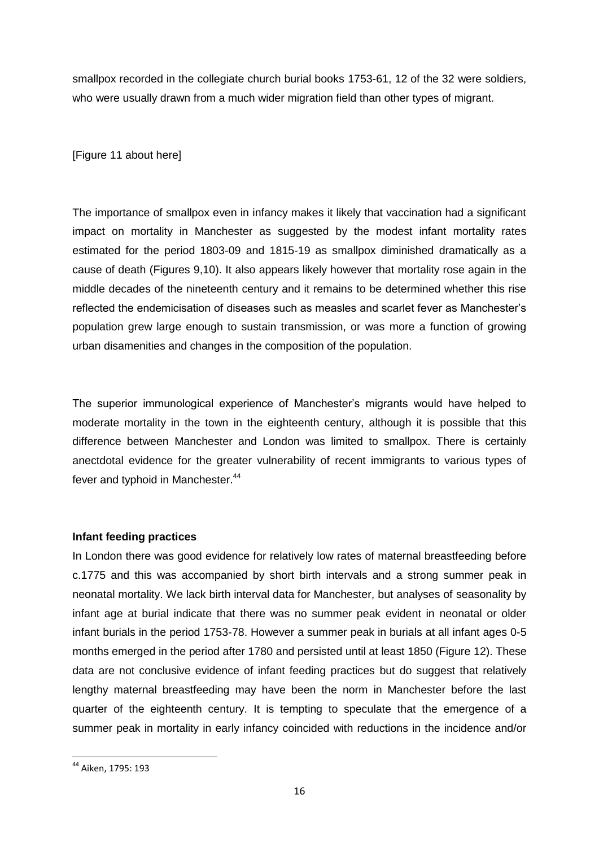smallpox recorded in the collegiate church burial books 1753-61, 12 of the 32 were soldiers, who were usually drawn from a much wider migration field than other types of migrant.

[Figure 11 about here]

The importance of smallpox even in infancy makes it likely that vaccination had a significant impact on mortality in Manchester as suggested by the modest infant mortality rates estimated for the period 1803-09 and 1815-19 as smallpox diminished dramatically as a cause of death (Figures 9,10). It also appears likely however that mortality rose again in the middle decades of the nineteenth century and it remains to be determined whether this rise reflected the endemicisation of diseases such as measles and scarlet fever as Manchester's population grew large enough to sustain transmission, or was more a function of growing urban disamenities and changes in the composition of the population.

The superior immunological experience of Manchester's migrants would have helped to moderate mortality in the town in the eighteenth century, although it is possible that this difference between Manchester and London was limited to smallpox. There is certainly anectdotal evidence for the greater vulnerability of recent immigrants to various types of fever and typhoid in Manchester.<sup>44</sup>

## **Infant feeding practices**

In London there was good evidence for relatively low rates of maternal breastfeeding before c.1775 and this was accompanied by short birth intervals and a strong summer peak in neonatal mortality. We lack birth interval data for Manchester, but analyses of seasonality by infant age at burial indicate that there was no summer peak evident in neonatal or older infant burials in the period 1753-78. However a summer peak in burials at all infant ages 0-5 months emerged in the period after 1780 and persisted until at least 1850 (Figure 12). These data are not conclusive evidence of infant feeding practices but do suggest that relatively lengthy maternal breastfeeding may have been the norm in Manchester before the last quarter of the eighteenth century. It is tempting to speculate that the emergence of a summer peak in mortality in early infancy coincided with reductions in the incidence and/or

<sup>&</sup>lt;sup>44</sup> Aiken, 1795: 193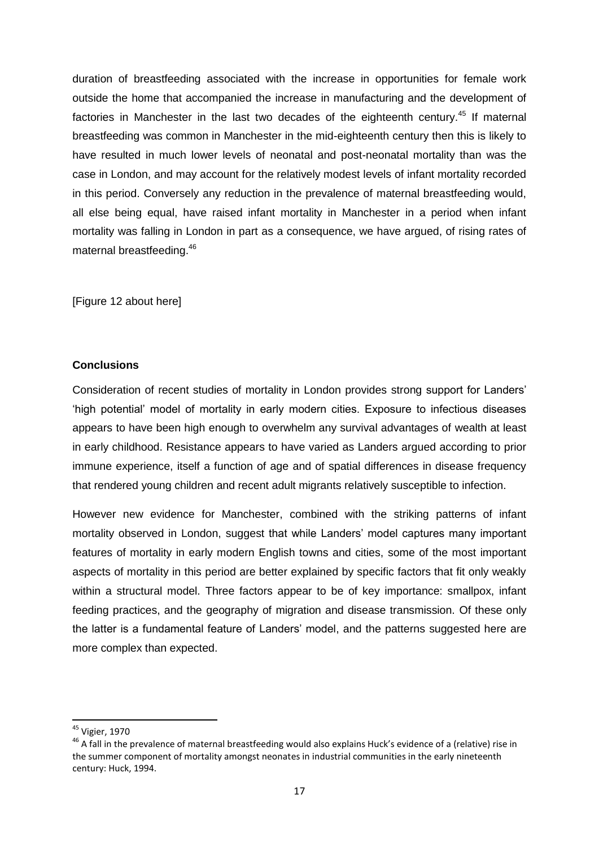duration of breastfeeding associated with the increase in opportunities for female work outside the home that accompanied the increase in manufacturing and the development of factories in Manchester in the last two decades of the eighteenth century.<sup>45</sup> If maternal breastfeeding was common in Manchester in the mid-eighteenth century then this is likely to have resulted in much lower levels of neonatal and post-neonatal mortality than was the case in London, and may account for the relatively modest levels of infant mortality recorded in this period. Conversely any reduction in the prevalence of maternal breastfeeding would, all else being equal, have raised infant mortality in Manchester in a period when infant mortality was falling in London in part as a consequence, we have argued, of rising rates of maternal breastfeeding.<sup>46</sup>

[Figure 12 about here]

# **Conclusions**

Consideration of recent studies of mortality in London provides strong support for Landers' 'high potential' model of mortality in early modern cities. Exposure to infectious diseases appears to have been high enough to overwhelm any survival advantages of wealth at least in early childhood. Resistance appears to have varied as Landers argued according to prior immune experience, itself a function of age and of spatial differences in disease frequency that rendered young children and recent adult migrants relatively susceptible to infection.

However new evidence for Manchester, combined with the striking patterns of infant mortality observed in London, suggest that while Landers' model captures many important features of mortality in early modern English towns and cities, some of the most important aspects of mortality in this period are better explained by specific factors that fit only weakly within a structural model. Three factors appear to be of key importance: smallpox, infant feeding practices, and the geography of migration and disease transmission. Of these only the latter is a fundamental feature of Landers' model, and the patterns suggested here are more complex than expected.

<sup>&</sup>lt;sup>45</sup> Vigier, 1970

<sup>&</sup>lt;sup>46</sup> A fall in the prevalence of maternal breastfeeding would also explains Huck's evidence of a (relative) rise in the summer component of mortality amongst neonates in industrial communities in the early nineteenth century: Huck, 1994.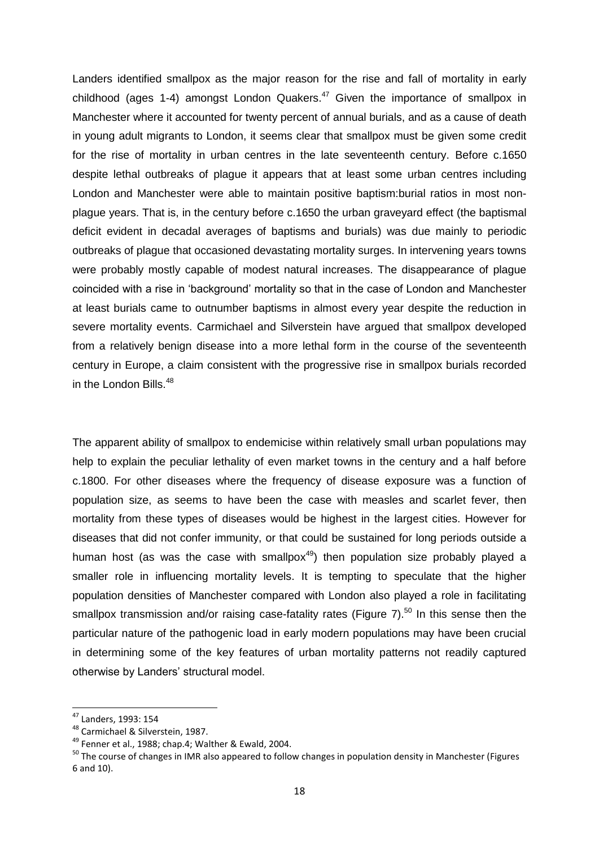Landers identified smallpox as the major reason for the rise and fall of mortality in early childhood (ages 1-4) amongst London Quakers.<sup>47</sup> Given the importance of smallpox in Manchester where it accounted for twenty percent of annual burials, and as a cause of death in young adult migrants to London, it seems clear that smallpox must be given some credit for the rise of mortality in urban centres in the late seventeenth century. Before c.1650 despite lethal outbreaks of plague it appears that at least some urban centres including London and Manchester were able to maintain positive baptism:burial ratios in most nonplague years. That is, in the century before c.1650 the urban graveyard effect (the baptismal deficit evident in decadal averages of baptisms and burials) was due mainly to periodic outbreaks of plague that occasioned devastating mortality surges. In intervening years towns were probably mostly capable of modest natural increases. The disappearance of plague coincided with a rise in 'background' mortality so that in the case of London and Manchester at least burials came to outnumber baptisms in almost every year despite the reduction in severe mortality events. Carmichael and Silverstein have argued that smallpox developed from a relatively benign disease into a more lethal form in the course of the seventeenth century in Europe, a claim consistent with the progressive rise in smallpox burials recorded in the London Bills.<sup>48</sup>

The apparent ability of smallpox to endemicise within relatively small urban populations may help to explain the peculiar lethality of even market towns in the century and a half before c.1800. For other diseases where the frequency of disease exposure was a function of population size, as seems to have been the case with measles and scarlet fever, then mortality from these types of diseases would be highest in the largest cities. However for diseases that did not confer immunity, or that could be sustained for long periods outside a human host (as was the case with smallpox<sup>49</sup>) then population size probably played a smaller role in influencing mortality levels. It is tempting to speculate that the higher population densities of Manchester compared with London also played a role in facilitating smallpox transmission and/or raising case-fatality rates (Figure 7).<sup>50</sup> In this sense then the particular nature of the pathogenic load in early modern populations may have been crucial in determining some of the key features of urban mortality patterns not readily captured otherwise by Landers' structural model.

 $\overline{\phantom{a}}$ 

 $47$  Landers, 1993: 154

<sup>48</sup> Carmichael & Silverstein, 1987.

<sup>&</sup>lt;sup>49</sup> Fenner et al., 1988; chap.4; Walther & Ewald, 2004.

<sup>&</sup>lt;sup>50</sup> The course of changes in IMR also appeared to follow changes in population density in Manchester (Figures 6 and 10).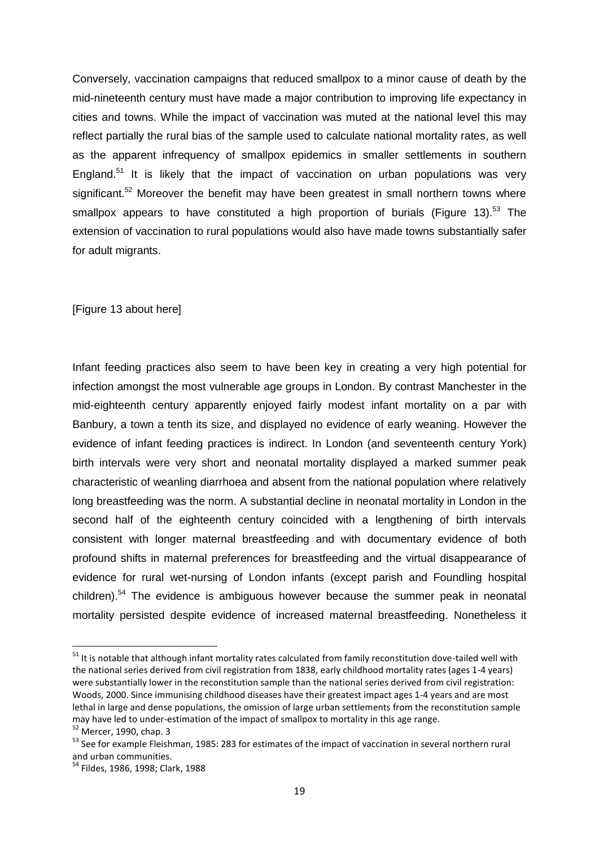Conversely, vaccination campaigns that reduced smallpox to a minor cause of death by the mid-nineteenth century must have made a major contribution to improving life expectancy in cities and towns. While the impact of vaccination was muted at the national level this may reflect partially the rural bias of the sample used to calculate national mortality rates, as well as the apparent infrequency of smallpox epidemics in smaller settlements in southern England.<sup>51</sup> It is likely that the impact of vaccination on urban populations was very significant.<sup>52</sup> Moreover the benefit may have been greatest in small northern towns where smallpox appears to have constituted a high proportion of burials (Figure 13).<sup>53</sup> The extension of vaccination to rural populations would also have made towns substantially safer for adult migrants.

[Figure 13 about here]

Infant feeding practices also seem to have been key in creating a very high potential for infection amongst the most vulnerable age groups in London. By contrast Manchester in the mid-eighteenth century apparently enjoyed fairly modest infant mortality on a par with Banbury, a town a tenth its size, and displayed no evidence of early weaning. However the evidence of infant feeding practices is indirect. In London (and seventeenth century York) birth intervals were very short and neonatal mortality displayed a marked summer peak characteristic of weanling diarrhoea and absent from the national population where relatively long breastfeeding was the norm. A substantial decline in neonatal mortality in London in the second half of the eighteenth century coincided with a lengthening of birth intervals consistent with longer maternal breastfeeding and with documentary evidence of both profound shifts in maternal preferences for breastfeeding and the virtual disappearance of evidence for rural wet-nursing of London infants (except parish and Foundling hospital children).<sup>54</sup> The evidence is ambiguous however because the summer peak in neonatal mortality persisted despite evidence of increased maternal breastfeeding. Nonetheless it

 $51$  It is notable that although infant mortality rates calculated from family reconstitution dove-tailed well with the national series derived from civil registration from 1838, early childhood mortality rates (ages 1-4 years) were substantially lower in the reconstitution sample than the national series derived from civil registration: Woods, 2000. Since immunising childhood diseases have their greatest impact ages 1-4 years and are most lethal in large and dense populations, the omission of large urban settlements from the reconstitution sample may have led to under-estimation of the impact of smallpox to mortality in this age range.

<sup>52</sup> Mercer, 1990, chap. 3

<sup>&</sup>lt;sup>53</sup> See for example Fleishman, 1985: 283 for estimates of the impact of vaccination in several northern rural and urban communities.

<sup>54</sup> Fildes, 1986, 1998; Clark, 1988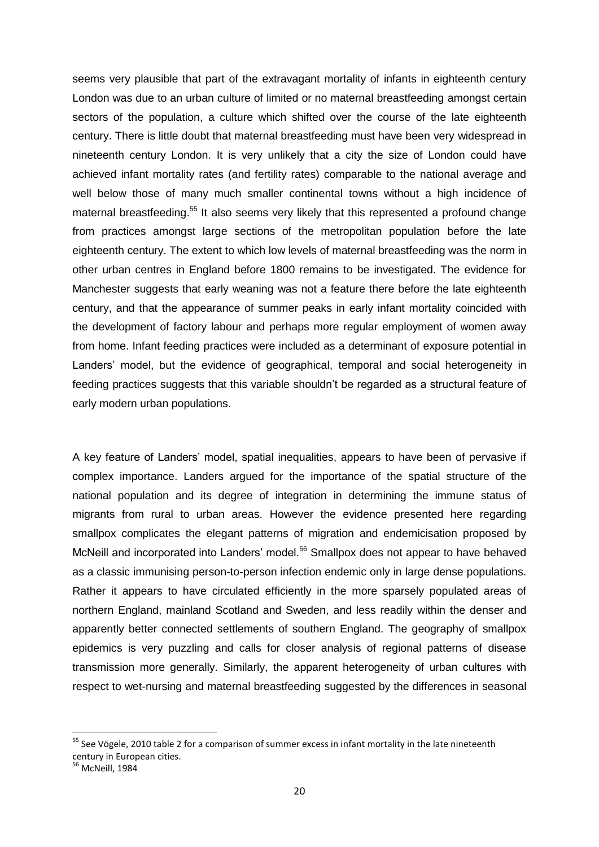seems very plausible that part of the extravagant mortality of infants in eighteenth century London was due to an urban culture of limited or no maternal breastfeeding amongst certain sectors of the population, a culture which shifted over the course of the late eighteenth century. There is little doubt that maternal breastfeeding must have been very widespread in nineteenth century London. It is very unlikely that a city the size of London could have achieved infant mortality rates (and fertility rates) comparable to the national average and well below those of many much smaller continental towns without a high incidence of maternal breastfeeding.<sup>55</sup> It also seems very likely that this represented a profound change from practices amongst large sections of the metropolitan population before the late eighteenth century. The extent to which low levels of maternal breastfeeding was the norm in other urban centres in England before 1800 remains to be investigated. The evidence for Manchester suggests that early weaning was not a feature there before the late eighteenth century, and that the appearance of summer peaks in early infant mortality coincided with the development of factory labour and perhaps more regular employment of women away from home. Infant feeding practices were included as a determinant of exposure potential in Landers' model, but the evidence of geographical, temporal and social heterogeneity in feeding practices suggests that this variable shouldn't be regarded as a structural feature of early modern urban populations.

A key feature of Landers' model, spatial inequalities, appears to have been of pervasive if complex importance. Landers argued for the importance of the spatial structure of the national population and its degree of integration in determining the immune status of migrants from rural to urban areas. However the evidence presented here regarding smallpox complicates the elegant patterns of migration and endemicisation proposed by McNeill and incorporated into Landers' model.<sup>56</sup> Smallpox does not appear to have behaved as a classic immunising person-to-person infection endemic only in large dense populations. Rather it appears to have circulated efficiently in the more sparsely populated areas of northern England, mainland Scotland and Sweden, and less readily within the denser and apparently better connected settlements of southern England. The geography of smallpox epidemics is very puzzling and calls for closer analysis of regional patterns of disease transmission more generally. Similarly, the apparent heterogeneity of urban cultures with respect to wet-nursing and maternal breastfeeding suggested by the differences in seasonal

<sup>&</sup>lt;sup>55</sup> See Vögele, 2010 table 2 for a comparison of summer excess in infant mortality in the late nineteenth century in European cities.

<sup>56</sup> McNeill, 1984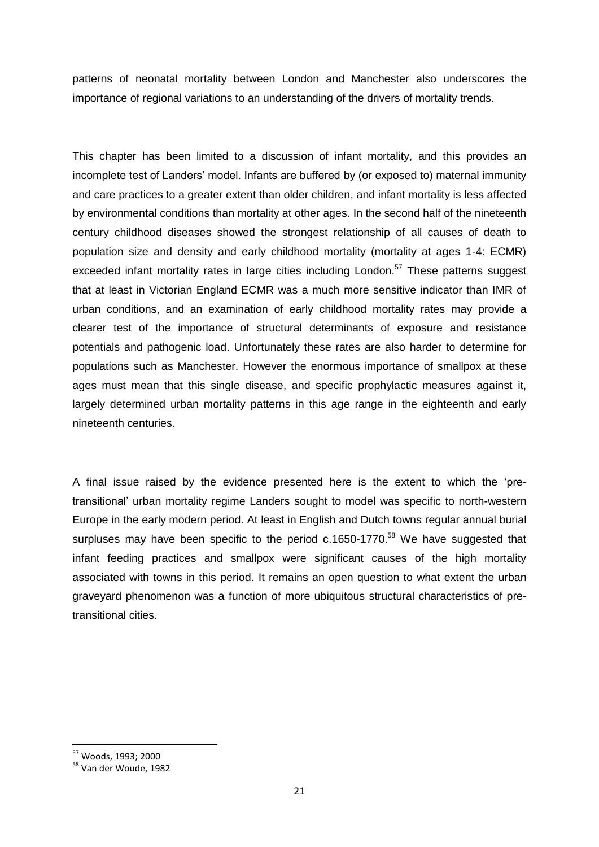patterns of neonatal mortality between London and Manchester also underscores the importance of regional variations to an understanding of the drivers of mortality trends.

This chapter has been limited to a discussion of infant mortality, and this provides an incomplete test of Landers' model. Infants are buffered by (or exposed to) maternal immunity and care practices to a greater extent than older children, and infant mortality is less affected by environmental conditions than mortality at other ages. In the second half of the nineteenth century childhood diseases showed the strongest relationship of all causes of death to population size and density and early childhood mortality (mortality at ages 1-4: ECMR) exceeded infant mortality rates in large cities including London.<sup>57</sup> These patterns suggest that at least in Victorian England ECMR was a much more sensitive indicator than IMR of urban conditions, and an examination of early childhood mortality rates may provide a clearer test of the importance of structural determinants of exposure and resistance potentials and pathogenic load. Unfortunately these rates are also harder to determine for populations such as Manchester. However the enormous importance of smallpox at these ages must mean that this single disease, and specific prophylactic measures against it, largely determined urban mortality patterns in this age range in the eighteenth and early nineteenth centuries.

A final issue raised by the evidence presented here is the extent to which the 'pretransitional' urban mortality regime Landers sought to model was specific to north-western Europe in the early modern period. At least in English and Dutch towns regular annual burial surpluses may have been specific to the period c.1650-1770.<sup>58</sup> We have suggested that infant feeding practices and smallpox were significant causes of the high mortality associated with towns in this period. It remains an open question to what extent the urban graveyard phenomenon was a function of more ubiquitous structural characteristics of pretransitional cities.

<sup>57</sup> Woods, 1993; 2000

<sup>58</sup> Van der Woude, 1982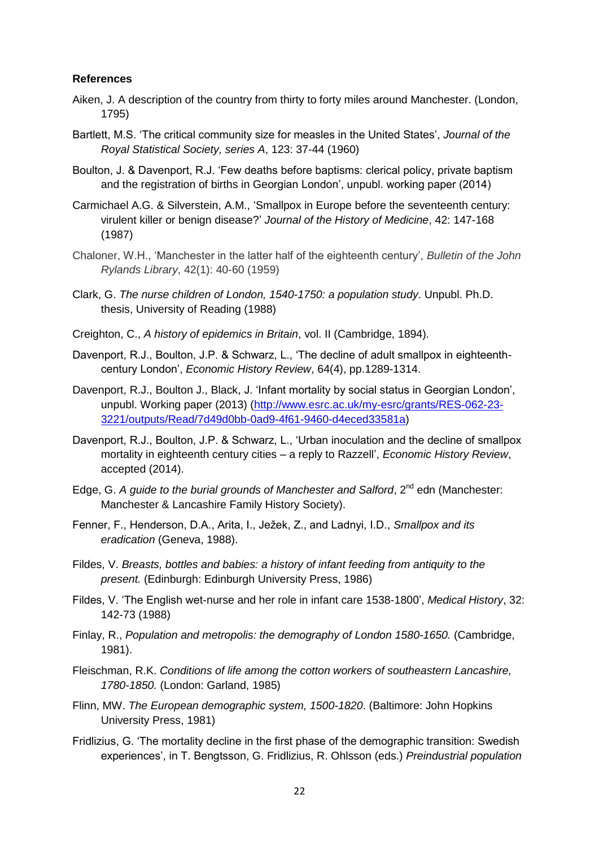#### **References**

- Aiken, J. A description of the country from thirty to forty miles around Manchester. (London, 1795)
- Bartlett, M.S. 'The critical community size for measles in the United States', *Journal of the Royal Statistical Society, series A*, 123: 37-44 (1960)
- Boulton, J. & Davenport, R.J. 'Few deaths before baptisms: clerical policy, private baptism and the registration of births in Georgian London', unpubl. working paper (2014)
- Carmichael A.G. & Silverstein, A.M., 'Smallpox in Europe before the seventeenth century: virulent killer or benign disease?' *Journal of the History of Medicine*, 42: 147-168 (1987)
- Chaloner, W.H., 'Manchester in the latter half of the eighteenth century', *Bulletin of the John Rylands Library*, 42(1): 40-60 (1959)
- Clark, G. *The nurse children of London, 1540-1750: a population study*. Unpubl. Ph.D. thesis, University of Reading (1988)
- Creighton, C., *A history of epidemics in Britain*, vol. II (Cambridge, 1894).
- Davenport, R.J., Boulton, J.P. & Schwarz, L., 'The decline of adult smallpox in eighteenthcentury London', *Economic History Review*, 64(4), pp.1289-1314.
- Davenport, R.J., Boulton J., Black, J. 'Infant mortality by social status in Georgian London', unpubl. Working paper (2013) [\(http://www.esrc.ac.uk/my-esrc/grants/RES-062-23-](http://www.esrc.ac.uk/my-esrc/grants/RES-062-23-3221/outputs/Read/7d49d0bb-0ad9-4f61-9460-d4eced33581a) [3221/outputs/Read/7d49d0bb-0ad9-4f61-9460-d4eced33581a\)](http://www.esrc.ac.uk/my-esrc/grants/RES-062-23-3221/outputs/Read/7d49d0bb-0ad9-4f61-9460-d4eced33581a)
- Davenport, R.J., Boulton, J.P. & Schwarz, L., 'Urban inoculation and the decline of smallpox mortality in eighteenth century cities – a reply to Razzell', *Economic History Review*, accepted (2014).
- Edge, G. *A guide to the burial grounds of Manchester and Salford*, 2<sup>nd</sup> edn (Manchester: Manchester & Lancashire Family History Society).
- Fenner, F., Henderson, D.A., Arita, I., Ježek, Z., and Ladnyi, I.D., *Smallpox and its eradication* (Geneva, 1988).
- Fildes, V. *Breasts, bottles and babies: a history of infant feeding from antiquity to the present.* (Edinburgh: Edinburgh University Press, 1986)
- Fildes, V. 'The English wet-nurse and her role in infant care 1538-1800', *Medical History*, 32: 142-73 (1988)
- Finlay, R., *Population and metropolis: the demography of London 1580-1650.* (Cambridge, 1981).
- Fleischman, R.K. *Conditions of life among the cotton workers of southeastern Lancashire, 1780-1850.* (London: Garland, 1985)
- Flinn, MW. *The European demographic system, 1500-1820*. (Baltimore: John Hopkins University Press, 1981)
- Fridlizius, G. 'The mortality decline in the first phase of the demographic transition: Swedish experiences', in T. Bengtsson, G. Fridlizius, R. Ohlsson (eds.) *Preindustrial population*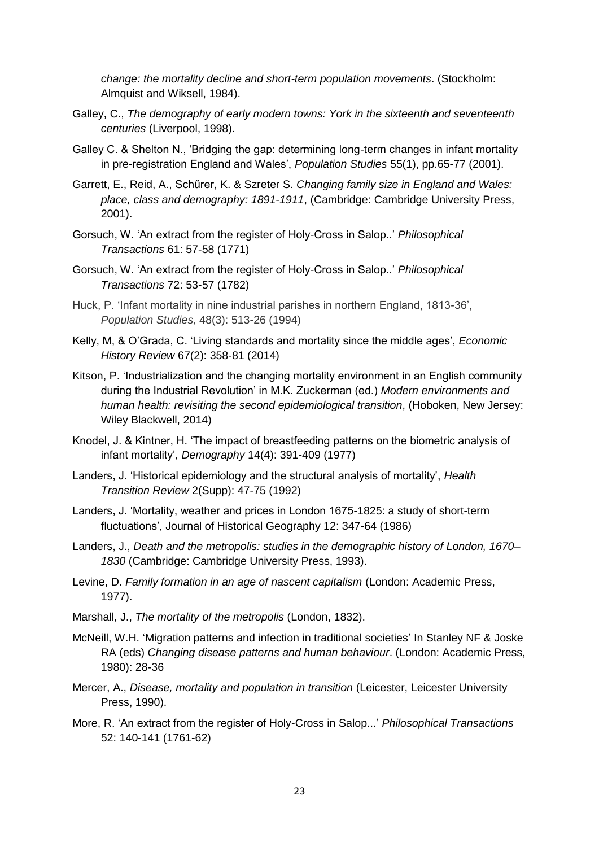*change: the mortality decline and short-term population movements*. (Stockholm: Almquist and Wiksell, 1984).

- Galley, C., *The demography of early modern towns: York in the sixteenth and seventeenth centuries* (Liverpool, 1998).
- Galley C. & Shelton N., 'Bridging the gap: determining long-term changes in infant mortality in pre-registration England and Wales', *Population Studies* 55(1), pp.65-77 (2001).
- Garrett, E., Reid, A., Schűrer, K. & Szreter S. *Changing family size in England and Wales: place, class and demography: 1891-1911*, (Cambridge: Cambridge University Press, 2001).
- Gorsuch, W. 'An extract from the register of Holy-Cross in Salop..' *Philosophical Transactions* 61: 57-58 (1771)
- Gorsuch, W. 'An extract from the register of Holy-Cross in Salop..' *Philosophical Transactions* 72: 53-57 (1782)
- Huck, P. 'Infant mortality in nine industrial parishes in northern England, 1813-36', *Population Studies*, 48(3): 513-26 (1994)
- Kelly, M, & O'Grada, C. 'Living standards and mortality since the middle ages', *Economic History Review* 67(2): 358-81 (2014)
- Kitson, P. 'Industrialization and the changing mortality environment in an English community during the Industrial Revolution' in M.K. Zuckerman (ed.) *Modern environments and human health: revisiting the second epidemiological transition*, (Hoboken, New Jersey: Wiley Blackwell, 2014)
- Knodel, J. & Kintner, H. 'The impact of breastfeeding patterns on the biometric analysis of infant mortality', *Demography* 14(4): 391-409 (1977)
- Landers, J. 'Historical epidemiology and the structural analysis of mortality', *Health Transition Review* 2(Supp): 47-75 (1992)
- Landers, J. 'Mortality, weather and prices in London 1675-1825: a study of short-term fluctuations', Journal of Historical Geography 12: 347-64 (1986)
- Landers, J., *Death and the metropolis: studies in the demographic history of London, 1670– 1830* (Cambridge: Cambridge University Press, 1993).
- Levine, D. *Family formation in an age of nascent capitalism* (London: Academic Press, 1977).
- Marshall, J., *The mortality of the metropolis* (London, 1832).
- McNeill, W.H. 'Migration patterns and infection in traditional societies' In Stanley NF & Joske RA (eds) *Changing disease patterns and human behaviour*. (London: Academic Press, 1980): 28-36
- Mercer, A., *Disease, mortality and population in transition* (Leicester, Leicester University Press, 1990).
- More, R. 'An extract from the register of Holy-Cross in Salop...' *Philosophical Transactions*  52: 140-141 (1761-62)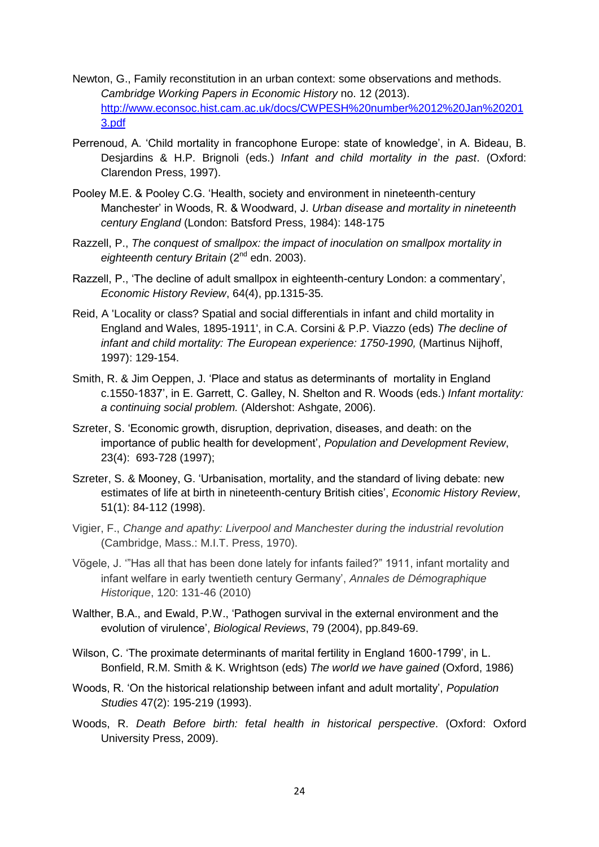- Newton, G., Family reconstitution in an urban context: some observations and methods. *Cambridge Working Papers in Economic History* no. 12 (2013). [http://www.econsoc.hist.cam.ac.uk/docs/CWPESH%20number%2012%20Jan%20201](http://www.econsoc.hist.cam.ac.uk/docs/CWPESH%20number%2012%20Jan%202013.pdf) [3.pdf](http://www.econsoc.hist.cam.ac.uk/docs/CWPESH%20number%2012%20Jan%202013.pdf)
- Perrenoud, A. 'Child mortality in francophone Europe: state of knowledge', in A. Bideau, B. Desjardins & H.P. Brignoli (eds.) *Infant and child mortality in the past*. (Oxford: Clarendon Press, 1997).
- Pooley M.E. & Pooley C.G. 'Health, society and environment in nineteenth-century Manchester' in Woods, R. & Woodward, J. *Urban disease and mortality in nineteenth century England* (London: Batsford Press, 1984): 148-175
- Razzell, P., *The conquest of smallpox: the impact of inoculation on smallpox mortality in*  eighteenth century Britain (2<sup>nd</sup> edn. 2003).
- Razzell, P., 'The decline of adult smallpox in eighteenth-century London: a commentary', *Economic History Review*, 64(4), pp.1315-35.
- Reid, A 'Locality or class? Spatial and social differentials in infant and child mortality in England and Wales, 1895-1911', in C.A. Corsini & P.P. Viazzo (eds) *The decline of infant and child mortality: The European experience: 1750-1990,* (Martinus Nijhoff, 1997): 129-154.
- Smith, R. & Jim Oeppen, J. 'Place and status as determinants of mortality in England c.1550-1837', in E. Garrett, C. Galley, N. Shelton and R. Woods (eds.) *Infant mortality: a continuing social problem.* (Aldershot: Ashgate, 2006).
- Szreter, S. 'Economic growth, disruption, deprivation, diseases, and death: on the importance of public health for development', *Population and Development Review*, 23(4): 693-728 (1997);
- Szreter, S. & Mooney, G. 'Urbanisation, mortality, and the standard of living debate: new estimates of life at birth in nineteenth-century British cities', *Economic History Review*, 51(1): 84-112 (1998).
- Vigier, F., *Change and apathy: Liverpool and Manchester during the industrial revolution* (Cambridge, Mass.: M.I.T. Press, 1970).
- Vögele, J. '"Has all that has been done lately for infants failed?" 1911, infant mortality and infant welfare in early twentieth century Germany', *Annales de Démographique Historique*, 120: 131-46 (2010)
- Walther, B.A., and Ewald, P.W., 'Pathogen survival in the external environment and the evolution of virulence', *Biological Reviews*, 79 (2004), pp.849-69.
- Wilson, C. 'The proximate determinants of marital fertility in England 1600-1799', in L. Bonfield, R.M. Smith & K. Wrightson (eds) *The world we have gained* (Oxford, 1986)
- Woods, R. 'On the historical relationship between infant and adult mortality', *Population Studies* 47(2): 195-219 (1993).
- Woods, R. *Death Before birth: fetal health in historical perspective*. (Oxford: Oxford University Press, 2009).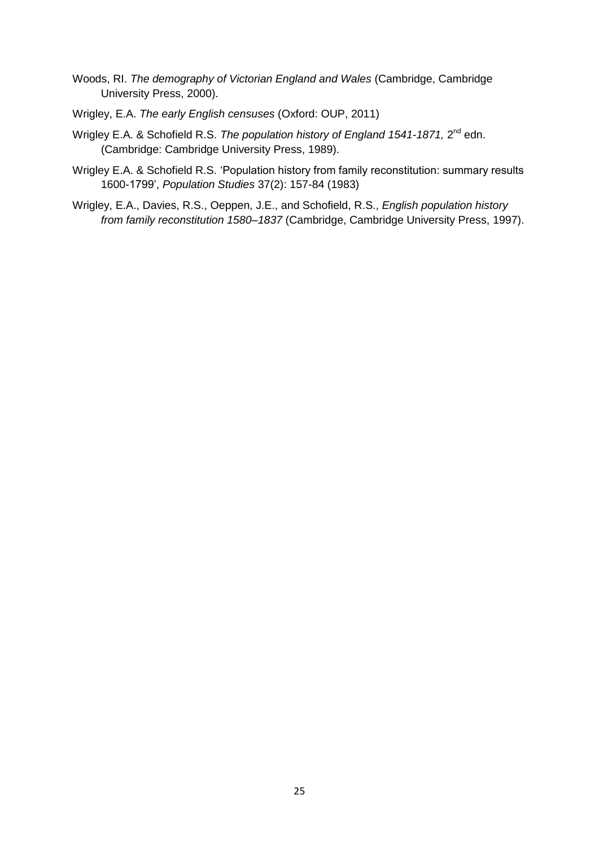- Woods, RI. *The demography of Victorian England and Wales* (Cambridge, Cambridge University Press, 2000).
- Wrigley, E.A. *The early English censuses* (Oxford: OUP, 2011)
- Wrigley E.A. & Schofield R.S. *The population history of England 1541-1871,* 2<sup>nd</sup> edn. (Cambridge: Cambridge University Press, 1989).
- Wrigley E.A. & Schofield R.S. 'Population history from family reconstitution: summary results 1600-1799', *Population Studies* 37(2): 157-84 (1983)
- Wrigley, E.A., Davies, R.S., Oeppen, J.E., and Schofield, R.S., *English population history from family reconstitution 1580–1837* (Cambridge, Cambridge University Press, 1997).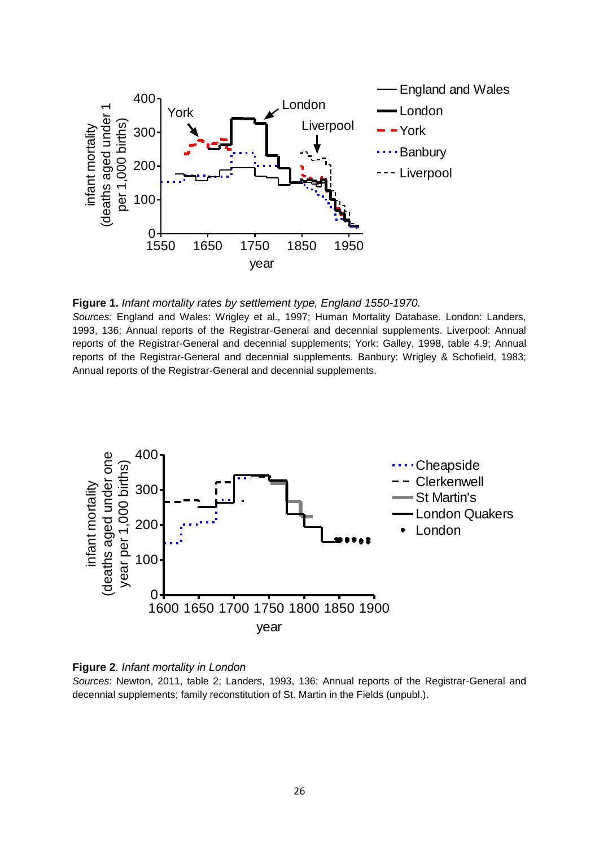



*Sources:* England and Wales: Wrigley et al., 1997; Human Mortality Database. London: Landers, 1993, 136; Annual reports of the Registrar-General and decennial supplements. Liverpool: Annual reports of the Registrar-General and decennial supplements; York: Galley, 1998, table 4.9; Annual reports of the Registrar-General and decennial supplements. Banbury: Wrigley & Schofield, 1983; Annual reports of the Registrar-General and decennial supplements.





*Sources*: Newton, 2011, table 2; Landers, 1993, 136; Annual reports of the Registrar-General and decennial supplements; family reconstitution of St. Martin in the Fields (unpubl.).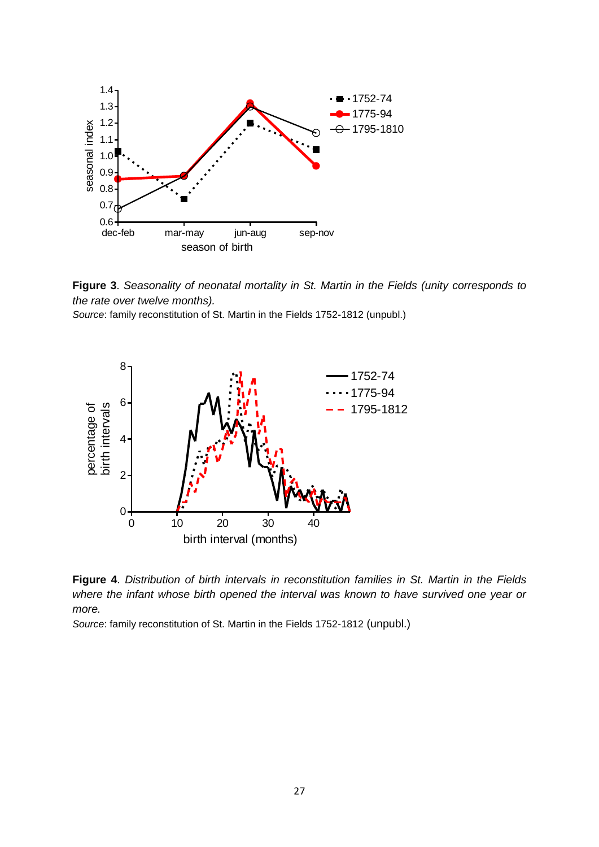

**Figure 3**. *Seasonality of neonatal mortality in St. Martin in the Fields (unity corresponds to the rate over twelve months).*

*Source*: family reconstitution of St. Martin in the Fields 1752-1812 (unpubl.)



**Figure 4**. *Distribution of birth intervals in reconstitution families in St. Martin in the Fields where the infant whose birth opened the interval was known to have survived one year or more.*

*Source*: family reconstitution of St. Martin in the Fields 1752-1812 (unpubl.)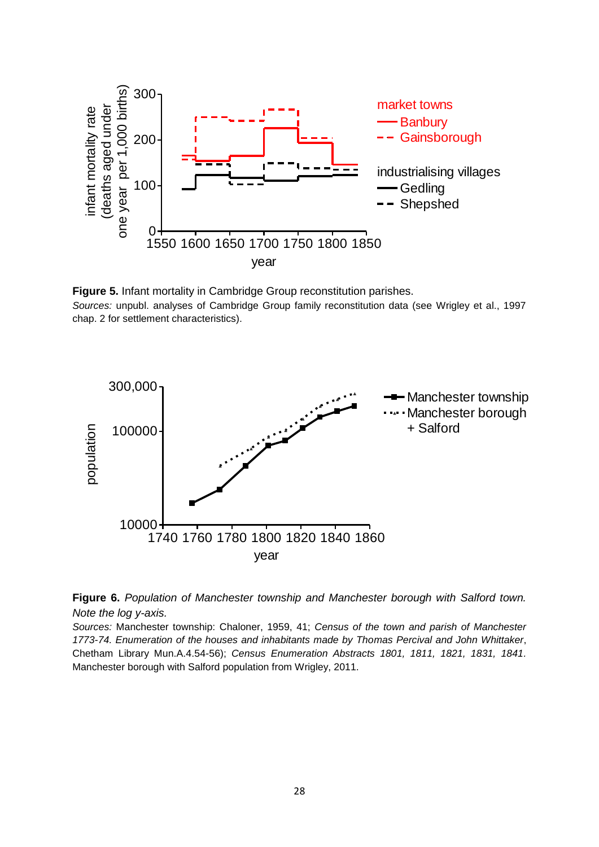

**Figure 5.** Infant mortality in Cambridge Group reconstitution parishes. *Sources:* unpubl. analyses of Cambridge Group family reconstitution data (see Wrigley et al., 1997 chap. 2 for settlement characteristics).





*Sources:* Manchester township: Chaloner, 1959, 41; *Census of the town and parish of Manchester 1773-74. Enumeration of the houses and inhabitants made by Thomas Percival and John Whittaker*, Chetham Library Mun.A.4.54-56); *Census Enumeration Abstracts 1801, 1811, 1821, 1831, 1841.*  Manchester borough with Salford population from Wrigley, 2011.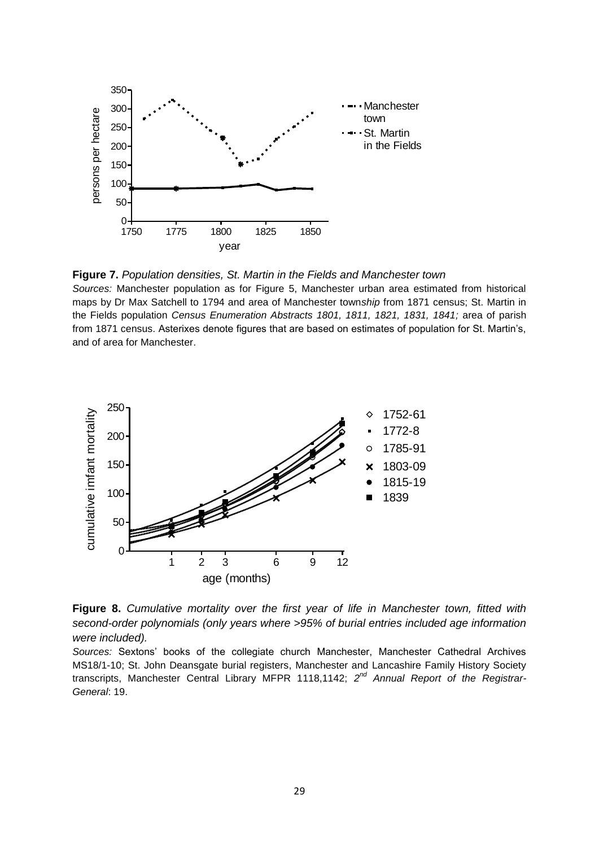

**Figure 7.** *Population densities, St. Martin in the Fields and Manchester town* 

*Sources:* Manchester population as for Figure 5, Manchester urban area estimated from historical maps by Dr Max Satchell to 1794 and area of Manchester town*ship* from 1871 census; St. Martin in the Fields population *Census Enumeration Abstracts 1801, 1811, 1821, 1831, 1841;* area of parish from 1871 census. Asterixes denote figures that are based on estimates of population for St. Martin's, and of area for Manchester.



**Figure 8.** *Cumulative mortality over the first year of life in Manchester town, fitted with second-order polynomials (only years where >95% of burial entries included age information were included).*

*Sources:* Sextons' books of the collegiate church Manchester, Manchester Cathedral Archives MS18/1-10; St. John Deansgate burial registers, Manchester and Lancashire Family History Society transcripts, Manchester Central Library MFPR 1118,1142; 2<sup>nd</sup> Annual Report of the Registrar-*General*: 19.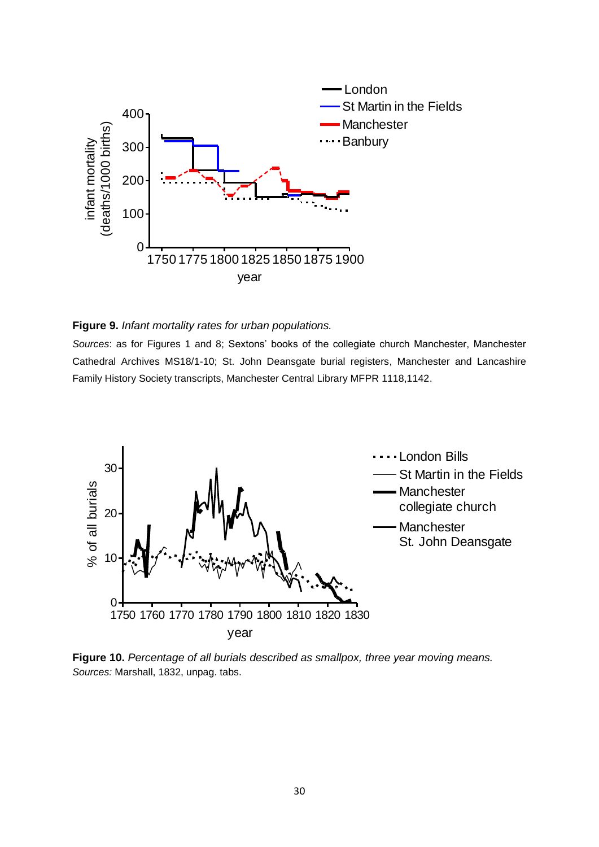

#### **Figure 9.** *Infant mortality rates for urban populations.*

*Sources*: as for Figures 1 and 8; Sextons' books of the collegiate church Manchester, Manchester Cathedral Archives MS18/1-10; St. John Deansgate burial registers, Manchester and Lancashire Family History Society transcripts, Manchester Central Library MFPR 1118,1142.



**Figure 10.** *Percentage of all burials described as smallpox, three year moving means. Sources:* Marshall, 1832, unpag. tabs.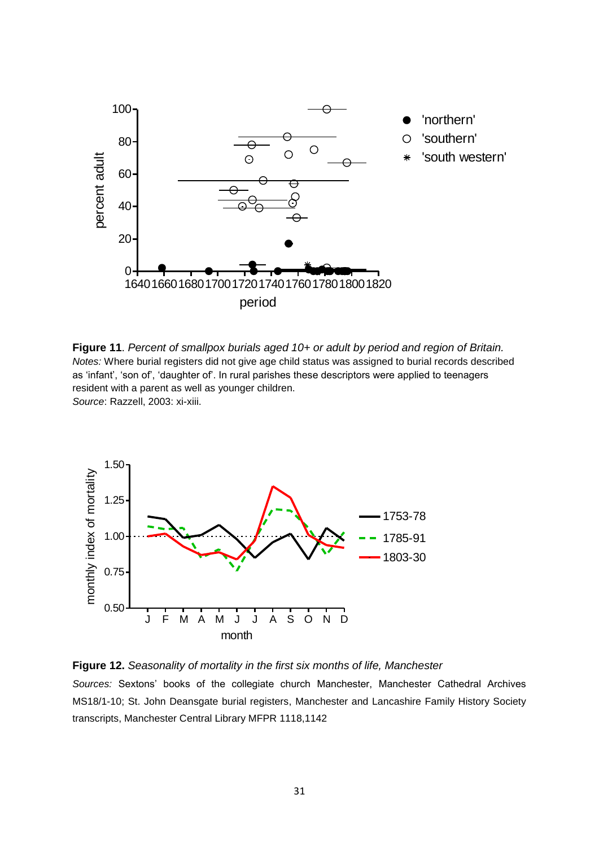

**Figure 11**. *Percent of smallpox burials aged 10+ or adult by period and region of Britain. Notes:* Where burial registers did not give age child status was assigned to burial records described as 'infant', 'son of', 'daughter of'. In rural parishes these descriptors were applied to teenagers resident with a parent as well as younger children. *Source*: Razzell, 2003: xi-xiii.



**Figure 12.** *Seasonality of mortality in the first six months of life, Manchester Sources:* Sextons' books of the collegiate church Manchester, Manchester Cathedral Archives MS18/1-10; St. John Deansgate burial registers, Manchester and Lancashire Family History Society transcripts, Manchester Central Library MFPR 1118,1142